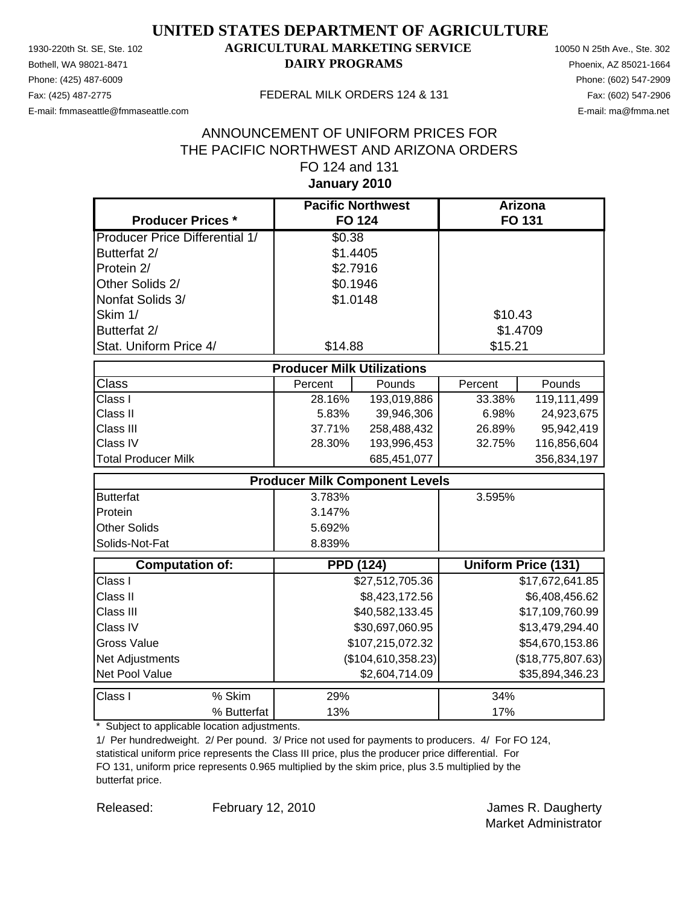Phone: (425) 487-6009 Phone: (602) 547-2909 E-mail: fmmaseattle@fmmaseattle.com E-mail: ma@fmma.net

### 1930-220th St. SE, Ste. 102 **AGRICULTURAL MARKETING SERVICE** 10050 N 25th Ave., Ste. 302 Bothell, WA 98021-8471 **DAIRY PROGRAMS** Phoenix, AZ 85021-1664

#### Fax: (425) 487-2775 FEDERAL MILK ORDERS 124 & 131

### **January 2010** ANNOUNCEMENT OF UNIFORM PRICES FOR THE PACIFIC NORTHWEST AND ARIZONA ORDERS FO 124 and 131

| <b>Producer Prices *</b>              |                                   | <b>Pacific Northwest</b><br><b>FO 124</b> | <b>Arizona</b><br>FO 131 |                     |
|---------------------------------------|-----------------------------------|-------------------------------------------|--------------------------|---------------------|
| <b>Producer Price Differential 1/</b> | \$0.38                            |                                           |                          |                     |
| Butterfat 2/                          | \$1.4405                          |                                           |                          |                     |
| Protein 2/                            | \$2.7916                          |                                           |                          |                     |
| Other Solids 2/                       | \$0.1946                          |                                           |                          |                     |
| Nonfat Solids 3/                      | \$1.0148                          |                                           |                          |                     |
| Skim 1/                               |                                   |                                           | \$10.43                  |                     |
| Butterfat 2/                          |                                   |                                           |                          | \$1.4709            |
| Stat. Uniform Price 4/                | \$14.88                           |                                           | \$15.21                  |                     |
|                                       | <b>Producer Milk Utilizations</b> |                                           |                          |                     |
| <b>Class</b>                          | Percent                           | Pounds                                    | Percent                  | Pounds              |
| Class I                               | 28.16%                            | 193,019,886                               | 33.38%                   | 119,111,499         |
| Class II                              | 5.83%                             | 39,946,306                                | 6.98%                    | 24,923,675          |
| Class III                             | 37.71%                            | 258,488,432                               | 26.89%                   | 95,942,419          |
| Class IV                              | 28.30%                            | 193,996,453                               | 32.75%                   | 116,856,604         |
| <b>Total Producer Milk</b>            |                                   | 685,451,077                               |                          | 356,834,197         |
|                                       |                                   | <b>Producer Milk Component Levels</b>     |                          |                     |
| <b>Butterfat</b>                      | 3.783%                            |                                           | 3.595%                   |                     |
| Protein                               | 3.147%                            |                                           |                          |                     |
| <b>Other Solids</b>                   | 5.692%                            |                                           |                          |                     |
| Solids-Not-Fat                        | 8.839%                            |                                           |                          |                     |
| <b>Computation of:</b>                |                                   | <b>PPD (124)</b>                          |                          | Uniform Price (131) |
| Class I                               |                                   | \$27,512,705.36                           |                          | \$17,672,641.85     |
| Class II                              |                                   | \$8,423,172.56                            |                          | \$6,408,456.62      |
| Class III                             |                                   | \$40,582,133.45                           |                          | \$17,109,760.99     |
| Class IV                              |                                   | \$30,697,060.95                           |                          | \$13,479,294.40     |
| <b>Gross Value</b>                    |                                   | \$107,215,072.32                          |                          | \$54,670,153.86     |
| Net Adjustments                       |                                   | (\$104,610,358.23)                        |                          | (\$18,775,807.63)   |
| Net Pool Value                        |                                   | \$2,604,714.09                            |                          | \$35,894,346.23     |
| Class I<br>% Skim                     | 29%                               |                                           | 34%                      |                     |
| % Butterfat                           | 13%                               |                                           | 17%                      |                     |

\* Subject to applicable location adjustments.

1/ Per hundredweight. 2/ Per pound. 3/ Price not used for payments to producers. 4/ For FO 124, statistical uniform price represents the Class III price, plus the producer price differential. For FO 131, uniform price represents 0.965 multiplied by the skim price, plus 3.5 multiplied by the butterfat price.

February 12, 2010

Released: February 12, 2010 **February 12, 2010 James R. Daugherty** Market Administrator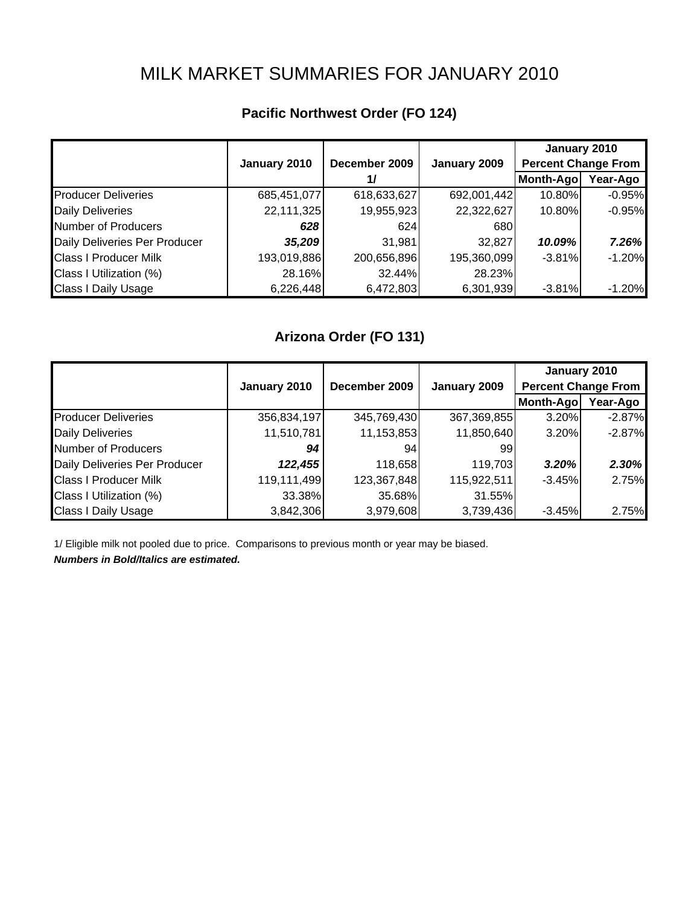# MILK MARKET SUMMARIES FOR JANUARY 2010

|                               |              |               |              | January 2010               |           |
|-------------------------------|--------------|---------------|--------------|----------------------------|-----------|
|                               | January 2010 | December 2009 | January 2009 | <b>Percent Change From</b> |           |
|                               |              | 1/            |              | Month-Ago                  | Year-Ago  |
| <b>Producer Deliveries</b>    | 685,451,077  | 618,633,627   | 692,001,442  | 10.80%                     | $-0.95%$  |
| <b>Daily Deliveries</b>       | 22,111,325   | 19,955,923    | 22,322,627   | 10.80%                     | $-0.95%$  |
| Number of Producers           | 628          | 624           | 680          |                            |           |
| Daily Deliveries Per Producer | 35,209       | 31,981        | 32,827       | 10.09%                     | 7.26%     |
| <b>Class I Producer Milk</b>  | 193,019,886  | 200,656,896   | 195,360,099  | $-3.81%$                   | $-1.20%$  |
| Class I Utilization (%)       | 28.16%       | 32.44%        | 28.23%       |                            |           |
| <b>Class I Daily Usage</b>    | 6,226,448    | 6,472,803     | 6,301,939    | $-3.81%$                   | $-1.20\%$ |

## **Pacific Northwest Order (FO 124)**

## **Arizona Order (FO 131)**

|                               |              |               |              | January 2010               |          |
|-------------------------------|--------------|---------------|--------------|----------------------------|----------|
|                               | January 2010 | December 2009 | January 2009 | <b>Percent Change From</b> |          |
|                               |              |               |              | Month-Ago                  | Year-Ago |
| <b>Producer Deliveries</b>    | 356,834,197  | 345,769,430   | 367,369,855  | 3.20%                      | $-2.87%$ |
| <b>Daily Deliveries</b>       | 11,510,781   | 11,153,853    | 11,850,640   | 3.20%                      | $-2.87%$ |
| Number of Producers           | 94           | 94            | 99           |                            |          |
| Daily Deliveries Per Producer | 122,455      | 118,658       | 119,703      | 3.20%                      | 2.30%    |
| <b>Class I Producer Milk</b>  | 119,111,499  | 123,367,848   | 115,922,511  | $-3.45%$                   | 2.75%    |
| Class I Utilization (%)       | 33.38%       | 35.68%        | 31.55%       |                            |          |
| <b>Class I Daily Usage</b>    | 3,842,306    | 3,979,608     | 3,739,436    | $-3.45%$                   | 2.75%    |

1/ Eligible milk not pooled due to price. Comparisons to previous month or year may be biased.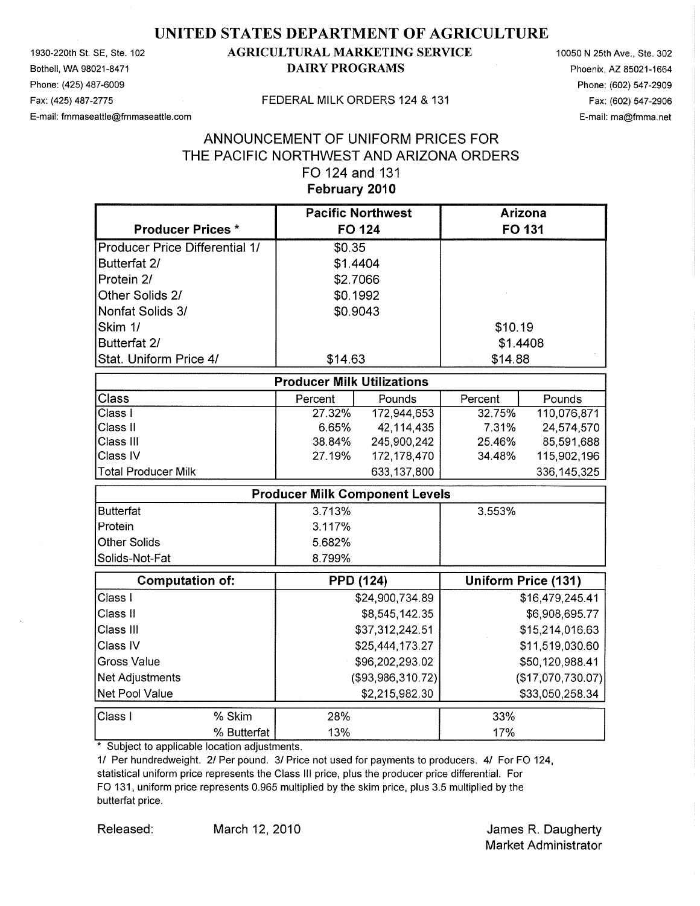1930-220th St. SE, Ste. 102 Bothell, WA 98021-8471 Phone: (425) 487-6009 Fax: (425) 487-2775 E-mail: fmmaseattle@fmmaseattle.com

### **AGRICULTURAL MARKETING SERVICE DAIRY PROGRAMS**

10050 N 25th Ave., Ste. 302 Phoenix, AZ 85021-1664 Phone: (602) 547-2909 Fax: (602) 547-2906 E-mail: ma@fmma.net

#### FEDERAL MILK ORDERS 124 & 131

### ANNOUNCEMENT OF UNIFORM PRICES FOR THE PACIFIC NORTHWEST AND ARIZONA ORDERS FO 124 and 131 February 2010

|                                       |                                       | <b>Pacific Northwest</b> |          | <b>Arizona</b>             |
|---------------------------------------|---------------------------------------|--------------------------|----------|----------------------------|
| <b>Producer Prices *</b>              | <b>FO 124</b>                         |                          |          | FO 131                     |
| <b>Producer Price Differential 1/</b> | \$0.35                                |                          |          |                            |
| Butterfat 2/                          | \$1.4404                              |                          |          |                            |
| Protein 2/                            | \$2.7066                              |                          |          |                            |
| Other Solids 2/                       | \$0.1992                              |                          |          |                            |
| Nonfat Solids 3/                      | \$0.9043                              |                          |          |                            |
| Skim 1/                               |                                       |                          | \$10.19  |                            |
| Butterfat 2/                          |                                       |                          | \$1.4408 |                            |
| Stat. Uniform Price 4/                | \$14.63                               |                          | \$14.88  |                            |
|                                       | <b>Producer Milk Utilizations</b>     |                          |          |                            |
| Class                                 | Percent                               | Pounds                   | Percent  | Pounds                     |
| Class I                               | 27.32%                                | 172,944,653              | 32.75%   | 110,076,871                |
| Class II                              | 6.65%                                 | 42,114,435               | 7.31%    | 24,574,570                 |
| Class III                             | 38.84%                                | 245,900,242              | 25.46%   | 85,591,688                 |
| Class IV                              | 27.19%                                | 172, 178, 470            | 34.48%   | 115,902,196                |
| <b>Total Producer Milk</b>            |                                       | 633,137,800              |          | 336, 145, 325              |
|                                       | <b>Producer Milk Component Levels</b> |                          |          |                            |
| <b>Butterfat</b>                      | 3.713%                                |                          | 3.553%   |                            |
| Protein                               | 3.117%                                |                          |          |                            |
| <b>Other Solids</b>                   | 5.682%                                |                          |          |                            |
| Solids-Not-Fat                        | 8.799%                                |                          |          |                            |
| <b>Computation of:</b>                | <b>PPD (124)</b>                      |                          |          | <b>Uniform Price (131)</b> |
| Class I                               |                                       | \$24,900,734.89          |          | \$16,479,245.41            |
| Class II                              |                                       | \$8,545,142.35           |          | \$6,908,695.77             |
| Class III                             |                                       | \$37,312,242.51          |          | \$15,214,016.63            |
| Class IV                              |                                       | \$25,444,173.27          |          | \$11,519,030.60            |
| <b>Gross Value</b>                    |                                       | \$96,202,293.02          |          | \$50,120,988.41            |
| Net Adjustments                       |                                       | (\$93,986,310.72)        |          | (\$17,070,730.07)          |
| Net Pool Value                        |                                       | \$2,215,982.30           |          | \$33,050,258.34            |
| % Skim<br>Class I                     | 28%                                   |                          | 33%      |                            |
| % Butterfat                           | 13%                                   |                          | 17%      |                            |

\* Subject to applicable location adjustments.

1/ Per hundredweight. 2/ Per pound. 3/ Price not used for payments to producers. 4/ For FO 124, statistical uniform price represents the Class III price, plus the producer price differential. For FO 131, uniform price represents 0.965 multiplied by the skim price, plus 3.5 multiplied by the butterfat price.

Released:

James R. Daugherty **Market Administrator**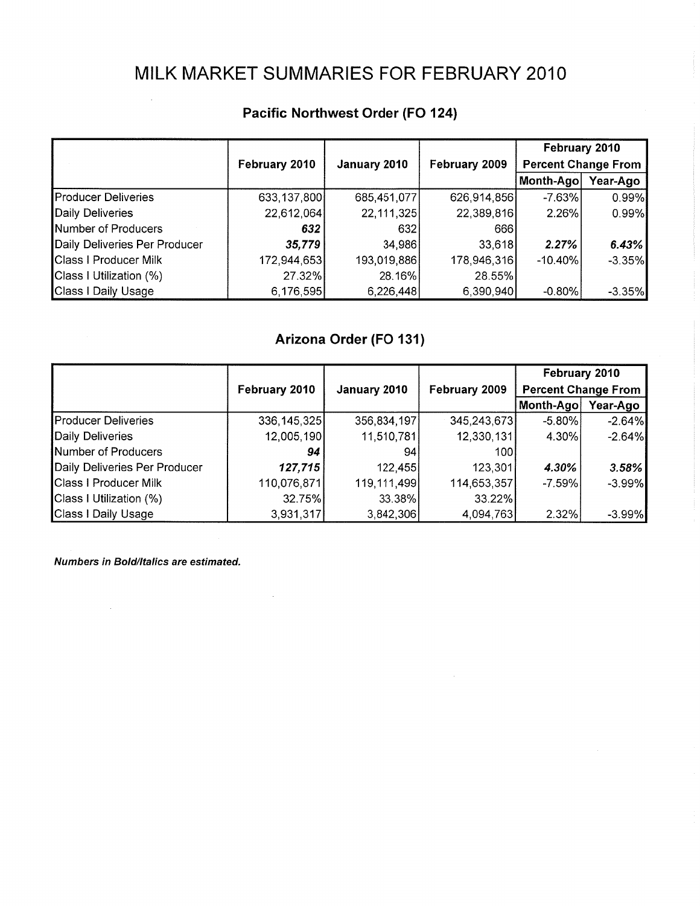## MILK MARKET SUMMARIES FOR FEBRUARY 2010

|                               |               |              |               | February 2010              |           |
|-------------------------------|---------------|--------------|---------------|----------------------------|-----------|
|                               | February 2010 | January 2010 | February 2009 | <b>Percent Change From</b> |           |
|                               |               |              |               | Month-Ago                  | Year-Ago  |
| <b>Producer Deliveries</b>    | 633,137,800   | 685,451,077  | 626,914,856   | $-7.63%$                   | 0.99%     |
| Daily Deliveries              | 22,612,064    | 22,111,325   | 22,389,816    | 2.26%                      | 0.99%     |
| Number of Producers           | 632           | 632          | 666           |                            |           |
| Daily Deliveries Per Producer | 35,779        | 34,986       | 33,618        | 2.27%                      | 6.43%     |
| <b>Class I Producer Milk</b>  | 172,944,653   | 193,019,886  | 178,946,316   | -10.40%                    | $-3.35\%$ |
| Class I Utilization (%)       | 27.32%        | 28.16%       | 28.55%        |                            |           |
| Class I Daily Usage           | 6,176,595     | 6,226,448    | 6,390,940     | $-0.80%$                   | $-3.35\%$ |

## Pacific Northwest Order (FO 124)

## Arizona Order (FO 131)

|                               |               |               |               | February 2010              |          |
|-------------------------------|---------------|---------------|---------------|----------------------------|----------|
|                               | February 2010 | January 2010  | February 2009 | <b>Percent Change From</b> |          |
|                               |               |               |               | Month-Ago                  | Year-Ago |
| <b>Producer Deliveries</b>    | 336, 145, 325 | 356,834,197   | 345,243,673   | $-5.80\%$                  | $-2.64%$ |
| Daily Deliveries              | 12,005,190    | 11,510,781    | 12,330,131    | 4.30%                      | $-2.64%$ |
| Number of Producers           | 94            | 94            | 100           |                            |          |
| Daily Deliveries Per Producer | 127,715       | 122,455       | 123,301       | 4.30%                      | 3.58%    |
| <b>Class I Producer Milk</b>  | 110,076,871   | 119, 111, 499 | 114,653,357   | $-7.59%$                   | $-3.99%$ |
| Class I Utilization (%)       | 32.75%        | 33.38%        | 33.22%        |                            |          |
| Class I Daily Usage           | 3,931,317     | 3,842,306     | 4,094,763     | 2.32%                      | $-3.99%$ |

 $\sim 10^{-1}$ 

Numbers in Bold/Italics are estimated.

 $\sim$ 

 $\sim$   $\sim$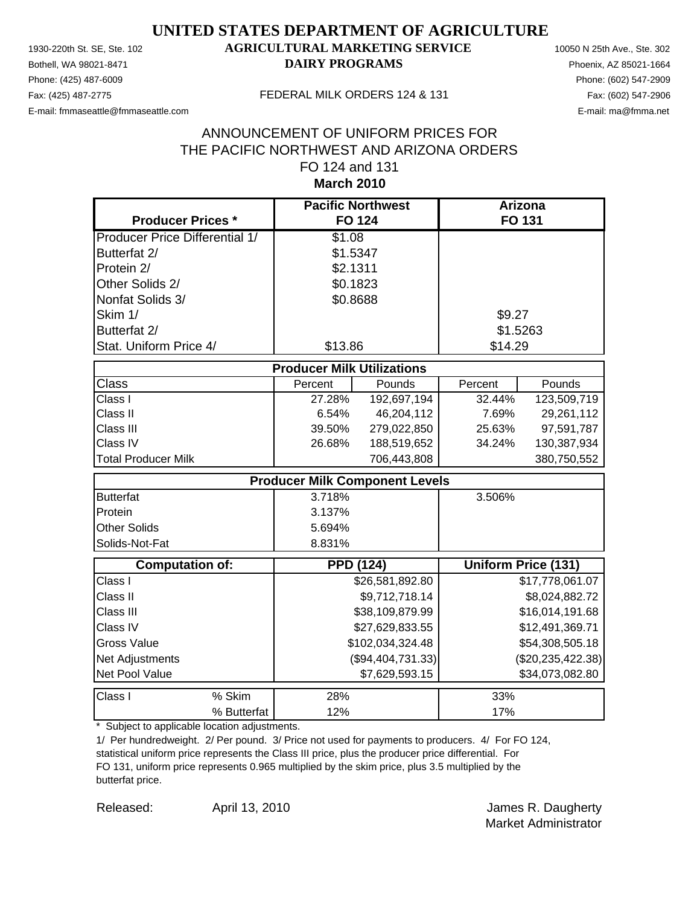Phone: (425) 487-6009 Phone: (602) 547-2909 E-mail: fmmaseattle@fmmaseattle.com E-mail: ma@fmma.net

### 1930-220th St. SE, Ste. 102 **AGRICULTURAL MARKETING SERVICE** 10050 N 25th Ave., Ste. 302 Bothell, WA 98021-8471 **DAIRY PROGRAMS** Phoenix, AZ 85021-1664

#### Fax: (425) 487-2775 FEDERAL MILK ORDERS 124 & 131

### **March 2010** ANNOUNCEMENT OF UNIFORM PRICES FOR THE PACIFIC NORTHWEST AND ARIZONA ORDERS FO 124 and 131

| <b>Producer Prices *</b>              |                                       | <b>Pacific Northwest</b><br><b>FO 124</b> |         | Arizona<br><b>FO 131</b>   |  |
|---------------------------------------|---------------------------------------|-------------------------------------------|---------|----------------------------|--|
| <b>Producer Price Differential 1/</b> | \$1.08                                |                                           |         |                            |  |
| Butterfat 2/                          | \$1.5347                              |                                           |         |                            |  |
| Protein 2/                            | \$2.1311                              |                                           |         |                            |  |
| Other Solids 2/                       | \$0.1823                              |                                           |         |                            |  |
| Nonfat Solids 3/                      | \$0.8688                              |                                           |         |                            |  |
| Skim 1/                               |                                       |                                           | \$9.27  |                            |  |
| Butterfat 2/                          |                                       |                                           |         | \$1.5263                   |  |
| Stat. Uniform Price 4/                | \$13.86                               |                                           | \$14.29 |                            |  |
| <b>Producer Milk Utilizations</b>     |                                       |                                           |         |                            |  |
| <b>Class</b>                          | Percent                               | Pounds                                    | Percent | Pounds                     |  |
| Class I                               | 27.28%                                | 192,697,194                               | 32.44%  | 123,509,719                |  |
| Class II                              | 6.54%                                 | 46,204,112                                | 7.69%   | 29,261,112                 |  |
| Class III                             | 39.50%                                | 279,022,850                               | 25.63%  | 97,591,787                 |  |
| Class IV                              | 26.68%                                | 188,519,652                               | 34.24%  | 130,387,934                |  |
| <b>Total Producer Milk</b>            |                                       | 706,443,808                               |         | 380,750,552                |  |
|                                       | <b>Producer Milk Component Levels</b> |                                           |         |                            |  |
| <b>Butterfat</b>                      | 3.718%                                |                                           | 3.506%  |                            |  |
| Protein                               | 3.137%                                |                                           |         |                            |  |
| <b>Other Solids</b>                   | 5.694%                                |                                           |         |                            |  |
| Solids-Not-Fat                        | 8.831%                                |                                           |         |                            |  |
| <b>Computation of:</b>                |                                       | <b>PPD (124)</b>                          |         | <b>Uniform Price (131)</b> |  |
| Class I                               |                                       | \$26,581,892.80                           |         | \$17,778,061.07            |  |
| Class II                              |                                       | \$9,712,718.14                            |         | \$8,024,882.72             |  |
| Class III                             |                                       | \$38,109,879.99                           |         | \$16,014,191.68            |  |
| Class IV                              |                                       | \$27,629,833.55                           |         | \$12,491,369.71            |  |
| <b>Gross Value</b>                    |                                       | \$102,034,324.48                          |         | \$54,308,505.18            |  |
| Net Adjustments                       |                                       | (\$94,404,731.33)                         |         | (\$20, 235, 422.38)        |  |
| Net Pool Value                        |                                       | \$7,629,593.15                            |         | \$34,073,082.80            |  |
| Class I<br>% Skim                     | 28%                                   |                                           | 33%     |                            |  |
| % Butterfat                           | 12%                                   |                                           | 17%     |                            |  |

\* Subject to applicable location adjustments.

1/ Per hundredweight. 2/ Per pound. 3/ Price not used for payments to producers. 4/ For FO 124, statistical uniform price represents the Class III price, plus the producer price differential. For FO 131, uniform price represents 0.965 multiplied by the skim price, plus 3.5 multiplied by the butterfat price.

Released: April 13, 2010 **Access Access Access** April 13, 2010

April 13, 2010

Market Administrator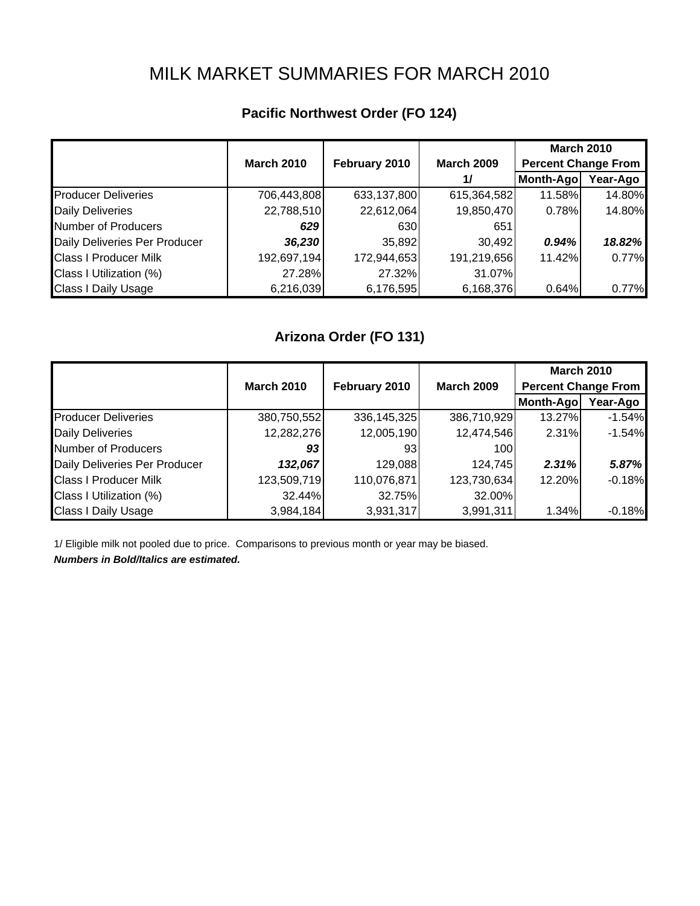## MILK MARKET SUMMARIES FOR MARCH 2010

## **Pacific Northwest Order (FO 124)**

|                               |                   |               |                   | <b>March 2010</b>          |          |
|-------------------------------|-------------------|---------------|-------------------|----------------------------|----------|
|                               | <b>March 2010</b> | February 2010 | <b>March 2009</b> | <b>Percent Change From</b> |          |
|                               |                   |               | 1/                | Month-Ago                  | Year-Ago |
| <b>Producer Deliveries</b>    | 706,443,808       | 633,137,800   | 615,364,582       | 11.58%                     | 14.80%   |
| <b>Daily Deliveries</b>       | 22,788,510        | 22,612,064    | 19,850,470        | 0.78%                      | 14.80%   |
| Number of Producers           | 629               | 630           | 651               |                            |          |
| Daily Deliveries Per Producer | 36,230            | 35,892        | 30,492            | 0.94%                      | 18.82%   |
| <b>Class I Producer Milk</b>  | 192,697,194       | 172,944,653   | 191,219,656       | 11.42%                     | 0.77%    |
| Class I Utilization (%)       | 27.28%            | 27.32%        | 31.07%            |                            |          |
| <b>Class I Daily Usage</b>    | 6,216,039         | 6,176,595     | 6,168,376         | 0.64%                      | 0.77%    |

## **Arizona Order (FO 131)**

|                               |                   |               |                   | <b>March 2010</b>          |          |
|-------------------------------|-------------------|---------------|-------------------|----------------------------|----------|
|                               | <b>March 2010</b> | February 2010 | <b>March 2009</b> | <b>Percent Change From</b> |          |
|                               |                   |               |                   | Month-Ago                  | Year-Ago |
| <b>Producer Deliveries</b>    | 380,750,552       | 336, 145, 325 | 386,710,929       | 13.27%                     | $-1.54%$ |
| <b>Daily Deliveries</b>       | 12,282,276        | 12,005,190    | 12,474,546        | 2.31%                      | $-1.54%$ |
| <b>Number of Producers</b>    | 93                | 931           | 100               |                            |          |
| Daily Deliveries Per Producer | 132,067           | 129,088       | 124,745           | 2.31%                      | 5.87%    |
| <b>Class I Producer Milk</b>  | 123,509,719       | 110,076,871   | 123,730,634       | 12.20%                     | $-0.18%$ |
| Class I Utilization (%)       | 32.44%            | 32.75%        | 32.00%            |                            |          |
| <b>Class I Daily Usage</b>    | 3,984,184         | 3,931,317     | 3,991,311         | 1.34%                      | $-0.18%$ |

1/ Eligible milk not pooled due to price. Comparisons to previous month or year may be biased. *Numbers in Bold/Italics are estimated.*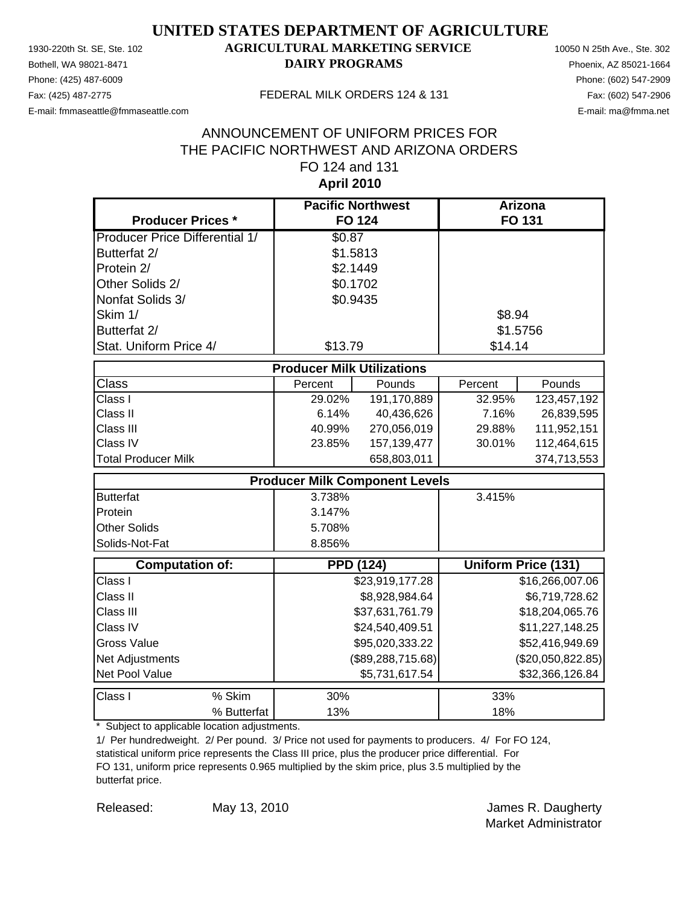Phone: (425) 487-6009 Phone: (602) 547-2909 E-mail: fmmaseattle@fmmaseattle.com E-mail: ma@fmma.net

### 1930-220th St. SE, Ste. 102 **AGRICULTURAL MARKETING SERVICE** 10050 N 25th Ave., Ste. 302 Bothell, WA 98021-8471 **DAIRY PROGRAMS** Phoenix, AZ 85021-1664

#### Fax: (425) 487-2775 FEDERAL MILK ORDERS 124 & 131

### **April 2010** ANNOUNCEMENT OF UNIFORM PRICES FOR THE PACIFIC NORTHWEST AND ARIZONA ORDERS FO 124 and 131

| <b>Producer Prices *</b>              |                                   | <b>Pacific Northwest</b><br><b>FO 124</b> | Arizona<br><b>FO 131</b> |                            |
|---------------------------------------|-----------------------------------|-------------------------------------------|--------------------------|----------------------------|
| <b>Producer Price Differential 1/</b> | \$0.87                            |                                           |                          |                            |
| Butterfat 2/                          | \$1.5813                          |                                           |                          |                            |
| Protein 2/                            | \$2.1449                          |                                           |                          |                            |
| Other Solids 2/                       | \$0.1702                          |                                           |                          |                            |
| Nonfat Solids 3/                      | \$0.9435                          |                                           |                          |                            |
| Skim 1/                               |                                   |                                           | \$8.94                   |                            |
| Butterfat 2/                          |                                   |                                           |                          | \$1.5756                   |
| Stat. Uniform Price 4/                | \$13.79                           |                                           | \$14.14                  |                            |
|                                       | <b>Producer Milk Utilizations</b> |                                           |                          |                            |
| <b>Class</b>                          | Percent                           | Pounds                                    | Percent                  | Pounds                     |
| Class I                               | 29.02%                            | 191,170,889                               | 32.95%                   | 123,457,192                |
| Class II                              | 6.14%                             | 40,436,626                                | 7.16%                    | 26,839,595                 |
| Class III                             | 40.99%                            | 270,056,019                               | 29.88%                   | 111,952,151                |
| Class IV                              | 23.85%                            | 157, 139, 477                             | 30.01%                   | 112,464,615                |
| <b>Total Producer Milk</b>            |                                   | 658,803,011                               |                          | 374,713,553                |
|                                       |                                   | <b>Producer Milk Component Levels</b>     |                          |                            |
| <b>Butterfat</b>                      | 3.738%                            |                                           | 3.415%                   |                            |
| Protein                               | 3.147%                            |                                           |                          |                            |
| <b>Other Solids</b>                   | 5.708%                            |                                           |                          |                            |
| Solids-Not-Fat                        | 8.856%                            |                                           |                          |                            |
| <b>Computation of:</b>                |                                   | <b>PPD (124)</b>                          |                          | <b>Uniform Price (131)</b> |
| Class I                               |                                   | \$23,919,177.28                           |                          | \$16,266,007.06            |
| Class II                              |                                   | \$8,928,984.64                            |                          | \$6,719,728.62             |
| Class III                             |                                   | \$37,631,761.79                           |                          | \$18,204,065.76            |
| Class IV                              |                                   | \$24,540,409.51                           |                          | \$11,227,148.25            |
| <b>Gross Value</b>                    |                                   | \$95,020,333.22                           |                          | \$52,416,949.69            |
| <b>Net Adjustments</b>                |                                   | (\$89, 288, 715.68)                       |                          | (\$20,050,822.85)          |
| Net Pool Value                        |                                   | \$5,731,617.54                            |                          | \$32,366,126.84            |
| Class I<br>% Skim                     | 30%                               |                                           | 33%                      |                            |
| % Butterfat                           | 13%                               |                                           | 18%                      |                            |

\* Subject to applicable location adjustments.

1/ Per hundredweight. 2/ Per pound. 3/ Price not used for payments to producers. 4/ For FO 124, statistical uniform price represents the Class III price, plus the producer price differential. For FO 131, uniform price represents 0.965 multiplied by the skim price, plus 3.5 multiplied by the butterfat price.

May 13, 2010

Released: May 13, 2010 **In the Contract Contract Contract Contract Contract Contract Contract Contract Contract Contract Contract Contract Contract Contract Contract Contract Contract Contract Contract Contract Contract Co** Market Administrator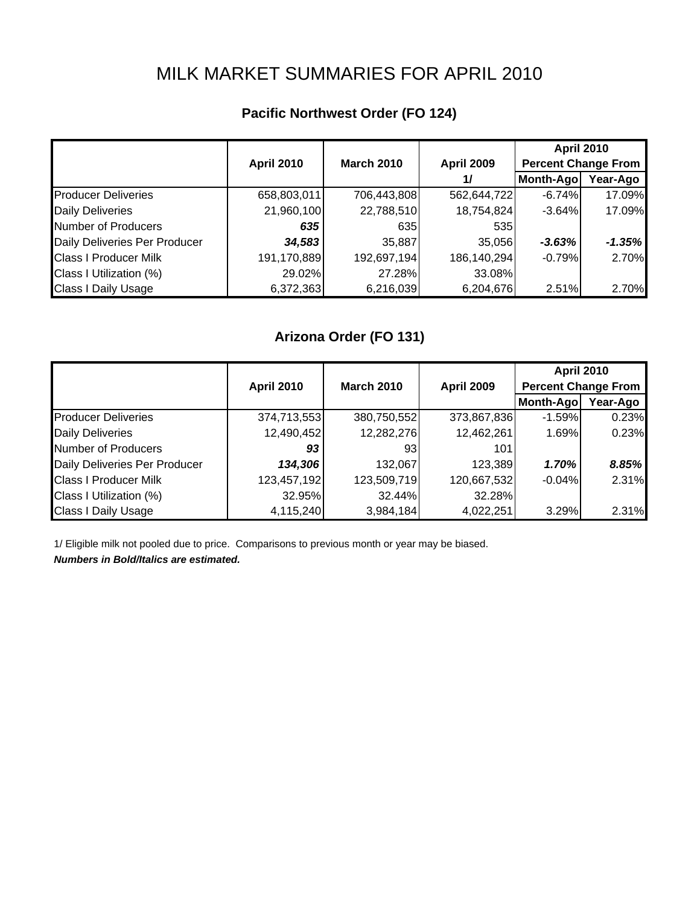# MILK MARKET SUMMARIES FOR APRIL 2010

## **Pacific Northwest Order (FO 124)**

|                               |                   |                   |                   | <b>April 2010</b>          |          |
|-------------------------------|-------------------|-------------------|-------------------|----------------------------|----------|
|                               | <b>April 2010</b> | <b>March 2010</b> | <b>April 2009</b> | <b>Percent Change From</b> |          |
|                               |                   |                   | $\frac{1}{2}$     | Month-Ago                  | Year-Ago |
| <b>Producer Deliveries</b>    | 658,803,011       | 706,443,808       | 562,644,722       | $-6.74%$                   | 17.09%   |
| <b>Daily Deliveries</b>       | 21,960,100        | 22,788,510        | 18,754,824        | $-3.64%$                   | 17.09%   |
| Number of Producers           | 635               | 635               | 535               |                            |          |
| Daily Deliveries Per Producer | 34,583            | 35,887            | 35,056            | $-3.63%$                   | $-1.35%$ |
| <b>Class I Producer Milk</b>  | 191,170,889       | 192,697,194       | 186,140,294       | $-0.79%$                   | 2.70%    |
| Class I Utilization (%)       | 29.02%            | 27.28%            | 33.08%            |                            |          |
| <b>Class I Daily Usage</b>    | 6,372,363         | 6,216,039         | 6,204,676         | 2.51%                      | 2.70%    |

## **Arizona Order (FO 131)**

|                               |                   |                   |                   | <b>April 2010</b>          |          |
|-------------------------------|-------------------|-------------------|-------------------|----------------------------|----------|
|                               | <b>April 2010</b> | <b>March 2010</b> | <b>April 2009</b> | <b>Percent Change From</b> |          |
|                               |                   |                   |                   | Month-Ago                  | Year-Ago |
| <b>Producer Deliveries</b>    | 374,713,553       | 380,750,552       | 373,867,836       | $-1.59%$                   | 0.23%    |
| <b>Daily Deliveries</b>       | 12,490,452        | 12,282,276        | 12,462,261        | 1.69%                      | 0.23%    |
| <b>Number of Producers</b>    | 93                | 931               | 101               |                            |          |
| Daily Deliveries Per Producer | 134,306           | 132,067           | 123,389           | 1.70%                      | 8.85%    |
| <b>Class I Producer Milk</b>  | 123,457,192       | 123,509,719       | 120,667,532       | $-0.04%$                   | 2.31%    |
| Class I Utilization (%)       | 32.95%            | 32.44%            | 32.28%            |                            |          |
| <b>Class I Daily Usage</b>    | 4,115,240         | 3,984,184         | 4,022,251         | 3.29%                      | 2.31%    |

1/ Eligible milk not pooled due to price. Comparisons to previous month or year may be biased. *Numbers in Bold/Italics are estimated.*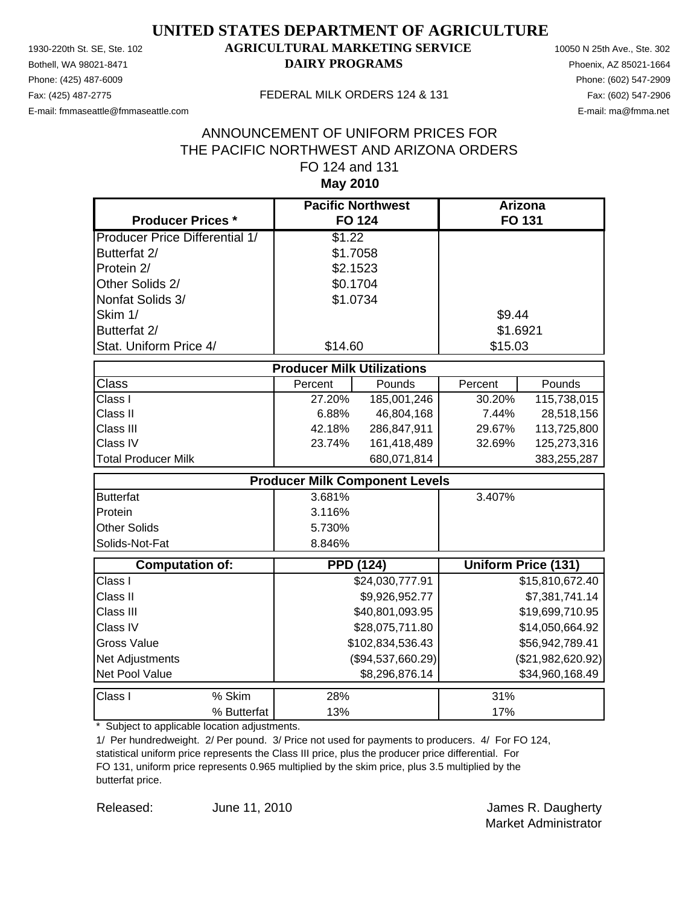Phone: (425) 487-6009 Phone: (602) 547-2909 E-mail: fmmaseattle@fmmaseattle.com E-mail: ma@fmma.net

### 1930-220th St. SE, Ste. 102 **AGRICULTURAL MARKETING SERVICE** 10050 N 25th Ave., Ste. 302 Bothell, WA 98021-8471 **DAIRY PROGRAMS** Phoenix, AZ 85021-1664

#### Fax: (425) 487-2775 FEDERAL MILK ORDERS 124 & 131

### **May 2010** ANNOUNCEMENT OF UNIFORM PRICES FOR THE PACIFIC NORTHWEST AND ARIZONA ORDERS FO 124 and 131

| <b>Producer Prices *</b>              | <b>Pacific Northwest</b><br><b>FO 124</b> |                   | Arizona<br>FO 131 |                            |
|---------------------------------------|-------------------------------------------|-------------------|-------------------|----------------------------|
| <b>Producer Price Differential 1/</b> | \$1.22                                    |                   |                   |                            |
| Butterfat 2/                          | \$1.7058                                  |                   |                   |                            |
| Protein 2/                            | \$2.1523                                  |                   |                   |                            |
| Other Solids 2/                       | \$0.1704                                  |                   |                   |                            |
| Nonfat Solids 3/                      | \$1.0734                                  |                   |                   |                            |
| Skim 1/                               |                                           |                   | \$9.44            |                            |
| Butterfat 2/                          |                                           |                   | \$1.6921          |                            |
| Stat. Uniform Price 4/                | \$14.60                                   |                   | \$15.03           |                            |
|                                       | <b>Producer Milk Utilizations</b>         |                   |                   |                            |
| Class                                 | Percent                                   | Pounds            | Percent           | Pounds                     |
| Class I                               | 27.20%                                    | 185,001,246       | 30.20%            | 115,738,015                |
| Class II                              | 6.88%                                     | 46,804,168        | 7.44%             | 28,518,156                 |
| Class III                             | 42.18%                                    | 286,847,911       | 29.67%            | 113,725,800                |
| Class IV                              | 23.74%                                    | 161,418,489       | 32.69%            | 125,273,316                |
| <b>Total Producer Milk</b>            |                                           | 680,071,814       |                   | 383,255,287                |
|                                       | <b>Producer Milk Component Levels</b>     |                   |                   |                            |
| <b>Butterfat</b>                      | 3.681%                                    |                   | 3.407%            |                            |
| Protein                               | 3.116%                                    |                   |                   |                            |
| <b>Other Solids</b>                   | 5.730%                                    |                   |                   |                            |
| Solids-Not-Fat                        | 8.846%                                    |                   |                   |                            |
| <b>Computation of:</b>                | <b>PPD (124)</b>                          |                   |                   | <b>Uniform Price (131)</b> |
| Class I                               |                                           | \$24,030,777.91   |                   | \$15,810,672.40            |
| Class II                              |                                           | \$9,926,952.77    |                   | \$7,381,741.14             |
| Class III                             |                                           | \$40,801,093.95   |                   | \$19,699,710.95            |
| Class IV                              |                                           | \$28,075,711.80   |                   | \$14,050,664.92            |
| <b>Gross Value</b>                    |                                           | \$102,834,536.43  |                   | \$56,942,789.41            |
| <b>Net Adjustments</b>                |                                           | (\$94,537,660.29) |                   | (\$21,982,620.92)          |
| Net Pool Value                        |                                           | \$8,296,876.14    |                   | \$34,960,168.49            |
| Class I<br>% Skim                     | 28%                                       |                   | 31%               |                            |
| % Butterfat                           | 13%                                       |                   | 17%               |                            |

\* Subject to applicable location adjustments.

1/ Per hundredweight. 2/ Per pound. 3/ Price not used for payments to producers. 4/ For FO 124, statistical uniform price represents the Class III price, plus the producer price differential. For FO 131, uniform price represents 0.965 multiplied by the skim price, plus 3.5 multiplied by the butterfat price.

Released: June 11, 2010 **Container Search America** James R. Daugherty June 11, 2010

Market Administrator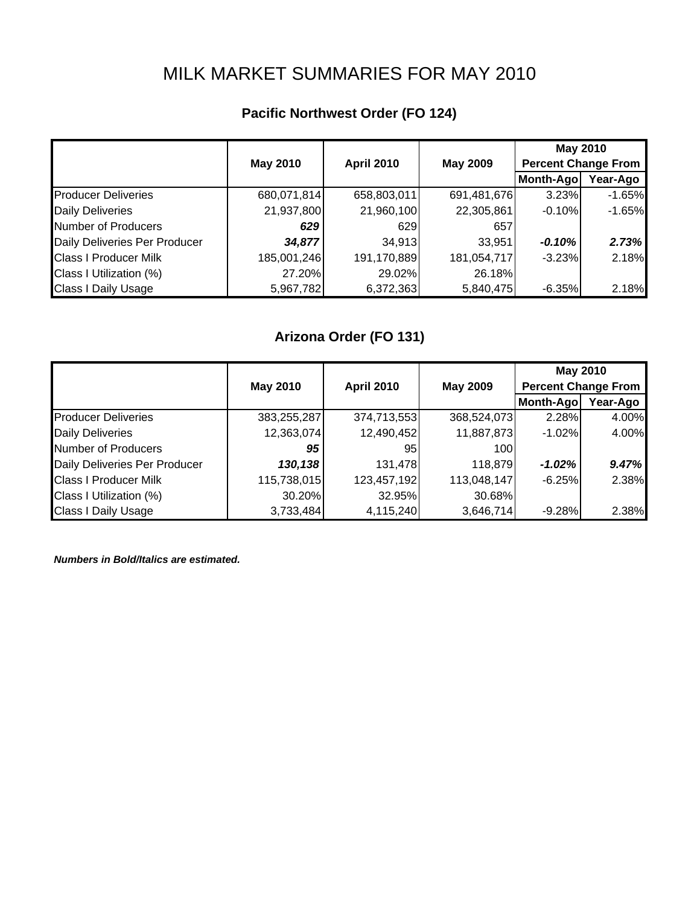# MILK MARKET SUMMARIES FOR MAY 2010

## **Pacific Northwest Order (FO 124)**

|                               |                 |                   |             | <b>May 2010</b>            |          |
|-------------------------------|-----------------|-------------------|-------------|----------------------------|----------|
|                               | <b>May 2010</b> | <b>April 2010</b> | May 2009    | <b>Percent Change From</b> |          |
|                               |                 |                   |             | Month-Ago                  | Year-Ago |
| <b>Producer Deliveries</b>    | 680,071,814     | 658,803,011       | 691,481,676 | 3.23%                      | $-1.65%$ |
| <b>Daily Deliveries</b>       | 21,937,800      | 21,960,100        | 22,305,861  | $-0.10%$                   | $-1.65%$ |
| Number of Producers           | 629             | 629               | 657         |                            |          |
| Daily Deliveries Per Producer | 34,877          | 34,913            | 33,951      | $-0.10%$                   | 2.73%    |
| <b>Class I Producer Milk</b>  | 185,001,246     | 191,170,889       | 181,054,717 | $-3.23%$                   | 2.18%    |
| Class I Utilization (%)       | 27.20%          | 29.02%            | 26.18%      |                            |          |
| <b>Class I Daily Usage</b>    | 5,967,782       | 6,372,363         | 5,840,475   | $-6.35%$                   | 2.18%    |

## **Arizona Order (FO 131)**

|                               |                 |                   |                 | <b>May 2010</b>            |          |
|-------------------------------|-----------------|-------------------|-----------------|----------------------------|----------|
|                               | <b>May 2010</b> | <b>April 2010</b> | <b>May 2009</b> | <b>Percent Change From</b> |          |
|                               |                 |                   |                 | Month-Ago                  | Year-Ago |
| <b>Producer Deliveries</b>    | 383,255,287     | 374,713,553       | 368,524,073     | 2.28%                      | 4.00%    |
| <b>Daily Deliveries</b>       | 12,363,074      | 12,490,452        | 11,887,873      | $-1.02%$                   | 4.00%    |
| Number of Producers           | 95              | 95                | 100             |                            |          |
| Daily Deliveries Per Producer | 130,138         | 131,478           | 118,879         | $-1.02\%$                  | 9.47%    |
| <b>Class I Producer Milk</b>  | 115,738,015     | 123,457,192       | 113,048,147     | $-6.25%$                   | 2.38%    |
| Class I Utilization (%)       | 30.20%          | 32.95%            | 30.68%          |                            |          |
| <b>Class I Daily Usage</b>    | 3,733,484       | 4,115,240         | 3,646,714       | $-9.28%$                   | 2.38%    |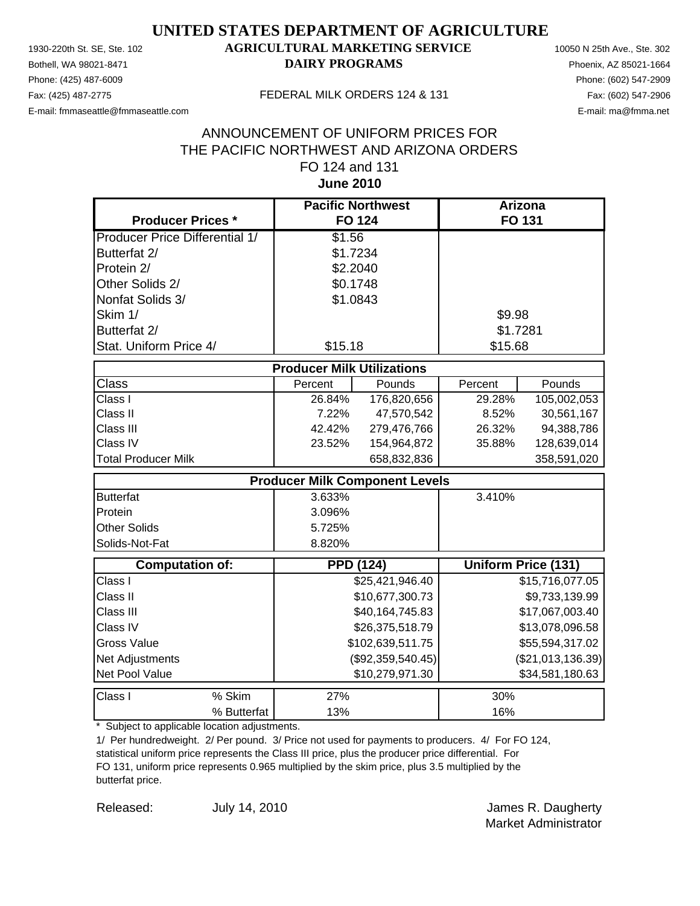Phone: (425) 487-6009 Phone: (602) 547-2909 E-mail: fmmaseattle@fmmaseattle.com E-mail: ma@fmma.net

### 1930-220th St. SE, Ste. 102 **AGRICULTURAL MARKETING SERVICE** 10050 N 25th Ave., Ste. 302 Bothell, WA 98021-8471 **DAIRY PROGRAMS** Phoenix, AZ 85021-1664

#### Fax: (425) 487-2775 FEDERAL MILK ORDERS 124 & 131

### **June 2010** ANNOUNCEMENT OF UNIFORM PRICES FOR THE PACIFIC NORTHWEST AND ARIZONA ORDERS FO 124 and 131

| <b>Producer Prices *</b>              |                                   | <b>Pacific Northwest</b><br><b>FO 124</b> |         | <b>Arizona</b><br>FO 131   |
|---------------------------------------|-----------------------------------|-------------------------------------------|---------|----------------------------|
| <b>Producer Price Differential 1/</b> | \$1.56                            |                                           |         |                            |
| Butterfat 2/                          |                                   | \$1.7234                                  |         |                            |
| Protein 2/                            |                                   | \$2.2040                                  |         |                            |
| Other Solids 2/                       |                                   | \$0.1748                                  |         |                            |
| Nonfat Solids 3/                      |                                   | \$1.0843                                  |         |                            |
|                                       |                                   |                                           |         |                            |
| Skim 1/                               |                                   |                                           | \$9.98  |                            |
| Butterfat 2/                          |                                   |                                           |         | \$1.7281                   |
| Stat. Uniform Price 4/                | \$15.18                           |                                           | \$15.68 |                            |
|                                       | <b>Producer Milk Utilizations</b> |                                           |         |                            |
| Class                                 | Percent                           | Pounds                                    | Percent | Pounds                     |
| Class I                               | 26.84%                            | 176,820,656                               | 29.28%  | 105,002,053                |
| Class II                              | 7.22%                             | 47,570,542                                | 8.52%   | 30,561,167                 |
| Class III                             | 42.42%                            | 279,476,766                               | 26.32%  | 94,388,786                 |
| Class IV                              | 23.52%                            | 154,964,872                               | 35.88%  | 128,639,014                |
| <b>Total Producer Milk</b>            |                                   | 658,832,836                               |         | 358,591,020                |
|                                       |                                   | <b>Producer Milk Component Levels</b>     |         |                            |
| <b>Butterfat</b>                      | 3.633%                            |                                           | 3.410%  |                            |
| Protein                               | 3.096%                            |                                           |         |                            |
| <b>Other Solids</b>                   | 5.725%                            |                                           |         |                            |
| Solids-Not-Fat                        | 8.820%                            |                                           |         |                            |
| <b>Computation of:</b>                |                                   | <b>PPD (124)</b>                          |         | <b>Uniform Price (131)</b> |
| Class I                               |                                   | \$25,421,946.40                           |         | \$15,716,077.05            |
| Class II                              |                                   | \$10,677,300.73                           |         | \$9,733,139.99             |
| Class III                             |                                   | \$40,164,745.83                           |         | \$17,067,003.40            |
| Class IV                              |                                   | \$26,375,518.79                           |         | \$13,078,096.58            |
| <b>Gross Value</b>                    |                                   | \$102,639,511.75                          |         | \$55,594,317.02            |
| Net Adjustments                       |                                   | (\$92,359,540.45)                         |         | (\$21,013,136.39)          |
| Net Pool Value                        |                                   | \$10,279,971.30                           |         | \$34,581,180.63            |
| % Skim<br>Class I                     | 27%                               |                                           | 30%     |                            |
| % Butterfat                           | 13%                               |                                           | 16%     |                            |

\* Subject to applicable location adjustments.

1/ Per hundredweight. 2/ Per pound. 3/ Price not used for payments to producers. 4/ For FO 124, statistical uniform price represents the Class III price, plus the producer price differential. For FO 131, uniform price represents 0.965 multiplied by the skim price, plus 3.5 multiplied by the butterfat price.

Released: July 14, 2010 **Container Search America** James R. Daugherty July 14, 2010

Market Administrator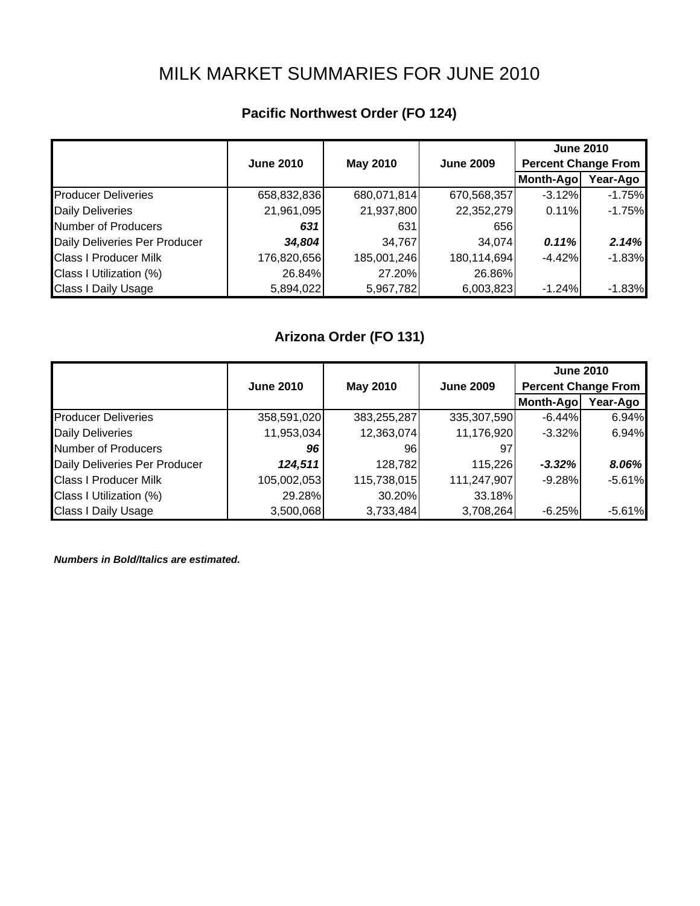# MILK MARKET SUMMARIES FOR JUNE 2010

## **Pacific Northwest Order (FO 124)**

|                               | <b>June 2010</b> | <b>May 2010</b> | <b>June 2009</b> |           | <b>June 2010</b><br><b>Percent Change From</b> |  |
|-------------------------------|------------------|-----------------|------------------|-----------|------------------------------------------------|--|
|                               |                  |                 |                  | Month-Ago | Year-Ago                                       |  |
| <b>Producer Deliveries</b>    | 658,832,836      | 680,071,814     | 670,568,357      | $-3.12%$  | $-1.75%$                                       |  |
| <b>Daily Deliveries</b>       | 21,961,095       | 21,937,800      | 22,352,279       | 0.11%     | $-1.75%$                                       |  |
| Number of Producers           | 631              | 631             | 656              |           |                                                |  |
| Daily Deliveries Per Producer | 34,804           | 34,767          | 34,074           | 0.11%     | 2.14%                                          |  |
| <b>Class I Producer Milk</b>  | 176,820,656      | 185,001,246     | 180,114,694      | $-4.42%$  | $-1.83%$                                       |  |
| Class I Utilization (%)       | 26.84%           | 27.20%          | 26.86%           |           |                                                |  |
| <b>Class I Daily Usage</b>    | 5,894,022        | 5,967,782       | 6,003,823        | $-1.24%$  | $-1.83%$                                       |  |

## **Arizona Order (FO 131)**

|                               |                  |                 |                  | <b>June 2010</b>           |          |
|-------------------------------|------------------|-----------------|------------------|----------------------------|----------|
|                               | <b>June 2010</b> | <b>May 2010</b> | <b>June 2009</b> | <b>Percent Change From</b> |          |
|                               |                  |                 |                  | Month-Ago                  | Year-Ago |
| <b>Producer Deliveries</b>    | 358,591,020      | 383,255,287     | 335,307,590      | $-6.44%$                   | 6.94%    |
| <b>Daily Deliveries</b>       | 11,953,034       | 12,363,074      | 11,176,920       | $-3.32\%$                  | 6.94%    |
| Number of Producers           | 96               | 961             | 97               |                            |          |
| Daily Deliveries Per Producer | 124,511          | 128,782         | 115,226          | $-3.32%$                   | 8.06%    |
| <b>Class I Producer Milk</b>  | 105,002,053      | 115,738,015     | 111,247,907      | $-9.28%$                   | $-5.61%$ |
| Class I Utilization (%)       | 29.28%           | 30.20%          | 33.18%           |                            |          |
| <b>Class I Daily Usage</b>    | 3,500,068        | 3,733,484       | 3,708,264        | $-6.25%$                   | $-5.61%$ |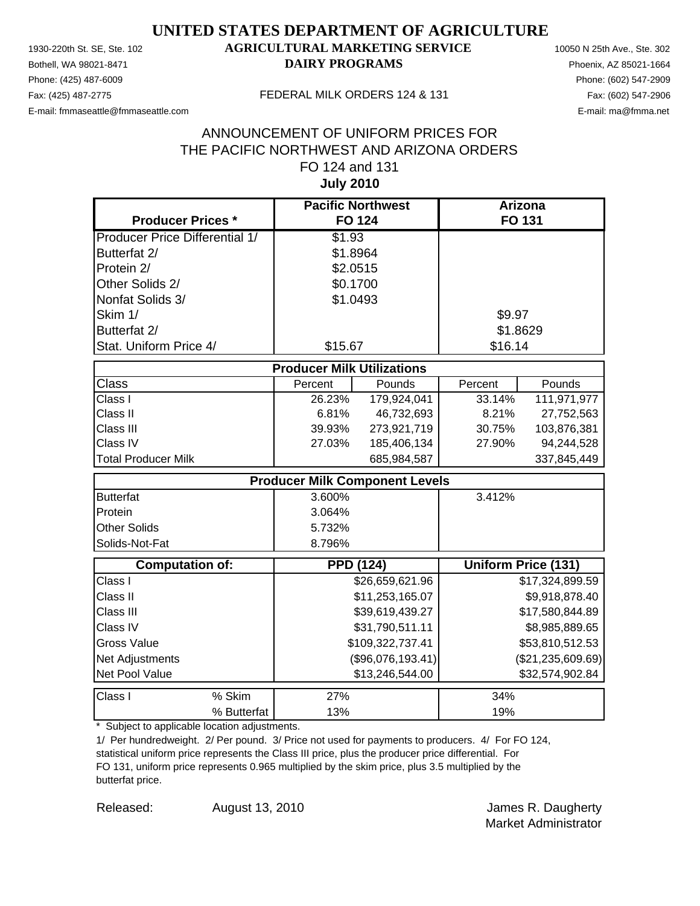Phone: (425) 487-6009 Phone: (602) 547-2909 E-mail: fmmaseattle@fmmaseattle.com E-mail: ma@fmma.net

### 1930-220th St. SE, Ste. 102 **AGRICULTURAL MARKETING SERVICE** 10050 N 25th Ave., Ste. 302 Bothell, WA 98021-8471 **DAIRY PROGRAMS** Phoenix, AZ 85021-1664

#### Fax: (425) 487-2775 FEDERAL MILK ORDERS 124 & 131

### **July 2010** ANNOUNCEMENT OF UNIFORM PRICES FOR THE PACIFIC NORTHWEST AND ARIZONA ORDERS FO 124 and 131

| <b>Producer Prices *</b>              |                                   | <b>Pacific Northwest</b><br><b>FO 124</b> |         | <b>Arizona</b><br>FO 131   |
|---------------------------------------|-----------------------------------|-------------------------------------------|---------|----------------------------|
| <b>Producer Price Differential 1/</b> | \$1.93                            |                                           |         |                            |
| Butterfat 2/                          | \$1.8964                          |                                           |         |                            |
| Protein 2/                            | \$2.0515                          |                                           |         |                            |
| Other Solids 2/                       | \$0.1700                          |                                           |         |                            |
| Nonfat Solids 3/                      | \$1.0493                          |                                           |         |                            |
| Skim 1/                               |                                   |                                           | \$9.97  |                            |
| Butterfat 2/                          |                                   |                                           |         | \$1.8629                   |
| Stat. Uniform Price 4/                | \$15.67                           |                                           | \$16.14 |                            |
|                                       | <b>Producer Milk Utilizations</b> |                                           |         |                            |
| <b>Class</b>                          | Percent                           | Pounds                                    | Percent | Pounds                     |
| Class I                               | 26.23%                            | 179,924,041                               | 33.14%  | 111,971,977                |
| Class II                              | 6.81%                             | 46,732,693                                | 8.21%   | 27,752,563                 |
| Class III                             | 39.93%                            | 273,921,719                               | 30.75%  | 103,876,381                |
| Class IV                              | 27.03%                            | 185,406,134                               | 27.90%  | 94,244,528                 |
| <b>Total Producer Milk</b>            |                                   | 685,984,587                               |         | 337,845,449                |
|                                       |                                   | <b>Producer Milk Component Levels</b>     |         |                            |
| <b>Butterfat</b>                      | 3.600%                            |                                           | 3.412%  |                            |
| Protein                               | 3.064%                            |                                           |         |                            |
| <b>Other Solids</b>                   | 5.732%                            |                                           |         |                            |
| Solids-Not-Fat                        | 8.796%                            |                                           |         |                            |
| <b>Computation of:</b>                |                                   | <b>PPD (124)</b>                          |         | <b>Uniform Price (131)</b> |
| Class I                               |                                   | \$26,659,621.96                           |         | \$17,324,899.59            |
| Class II                              |                                   | \$11,253,165.07                           |         | \$9,918,878.40             |
| Class III                             |                                   | \$39,619,439.27                           |         | \$17,580,844.89            |
| Class IV                              |                                   | \$31,790,511.11                           |         | \$8,985,889.65             |
| <b>Gross Value</b>                    |                                   | \$109,322,737.41                          |         | \$53,810,512.53            |
| Net Adjustments                       |                                   | (\$96,076,193.41)                         |         | (\$21, 235, 609.69)        |
| Net Pool Value                        |                                   | \$13,246,544.00                           |         | \$32,574,902.84            |
| Class I<br>% Skim                     | 27%                               |                                           | 34%     |                            |
| % Butterfat                           | 13%                               |                                           | 19%     |                            |

\* Subject to applicable location adjustments.

1/ Per hundredweight. 2/ Per pound. 3/ Price not used for payments to producers. 4/ For FO 124, statistical uniform price represents the Class III price, plus the producer price differential. For FO 131, uniform price represents 0.965 multiplied by the skim price, plus 3.5 multiplied by the butterfat price.

Released: August 13, 2010 **August 13, 2010 James R. Daugherty** Market Administrator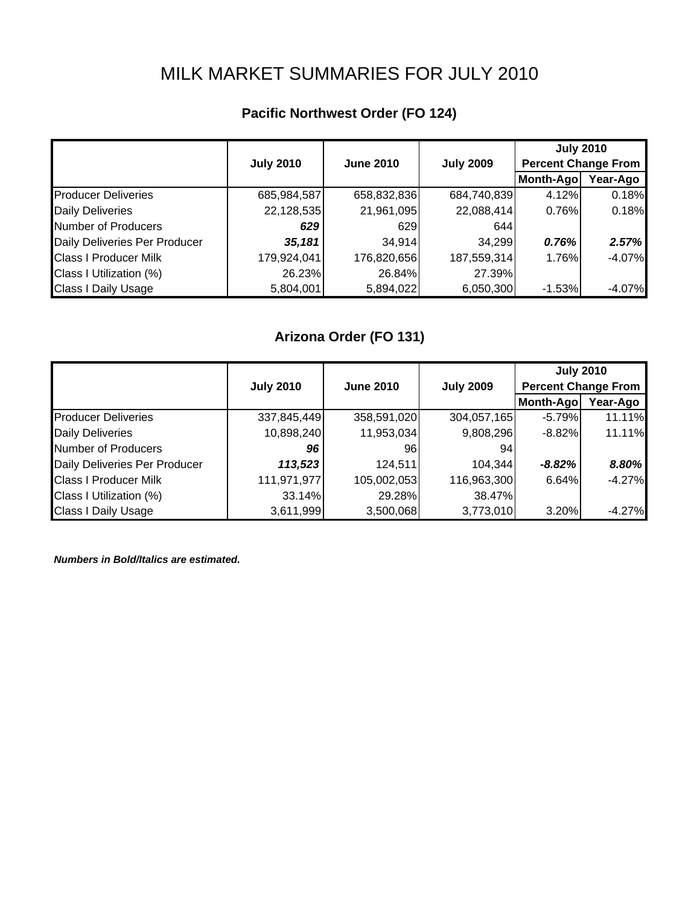# MILK MARKET SUMMARIES FOR JULY 2010

## **Pacific Northwest Order (FO 124)**

|                               |                  |                  |                  |                            | <b>July 2010</b> |
|-------------------------------|------------------|------------------|------------------|----------------------------|------------------|
|                               | <b>July 2010</b> | <b>June 2010</b> | <b>July 2009</b> | <b>Percent Change From</b> |                  |
|                               |                  |                  |                  | Month-Ago                  | Year-Ago         |
| <b>Producer Deliveries</b>    | 685,984,587      | 658,832,836      | 684,740,839      | 4.12%                      | 0.18%            |
| <b>Daily Deliveries</b>       | 22,128,535       | 21,961,095       | 22,088,414       | 0.76%                      | 0.18%            |
| Number of Producers           | 629              | 629              | 644              |                            |                  |
| Daily Deliveries Per Producer | 35,181           | 34,914           | 34,299           | 0.76%                      | 2.57%            |
| <b>Class I Producer Milk</b>  | 179,924,041      | 176,820,656      | 187,559,314      | 1.76%                      | $-4.07%$         |
| Class I Utilization (%)       | 26.23%           | 26.84%           | 27.39%           |                            |                  |
| <b>Class I Daily Usage</b>    | 5,804,001        | 5,894,022        | 6,050,300        | $-1.53%$                   | $-4.07%$         |

## **Arizona Order (FO 131)**

|                               |                  |                  |                  | <b>July 2010</b>           |          |
|-------------------------------|------------------|------------------|------------------|----------------------------|----------|
|                               | <b>July 2010</b> | <b>June 2010</b> | <b>July 2009</b> | <b>Percent Change From</b> |          |
|                               |                  |                  |                  | Month-Ago                  | Year-Ago |
| <b>Producer Deliveries</b>    | 337,845,449      | 358,591,020      | 304,057,165      | $-5.79%$                   | 11.11%   |
| <b>Daily Deliveries</b>       | 10,898,240       | 11,953,034       | 9,808,296        | $-8.82\%$                  | 11.11%   |
| Number of Producers           | 96               | 961              | 941              |                            |          |
| Daily Deliveries Per Producer | 113,523          | 124,511          | 104,344          | $-8.82%$                   | 8.80%    |
| <b>Class I Producer Milk</b>  | 111,971,977      | 105,002,053      | 116,963,300      | 6.64%                      | $-4.27%$ |
| Class I Utilization (%)       | 33.14%           | 29.28%           | 38.47%           |                            |          |
| <b>Class I Daily Usage</b>    | 3,611,999        | 3,500,068        | 3,773,010        | 3.20%                      | $-4.27%$ |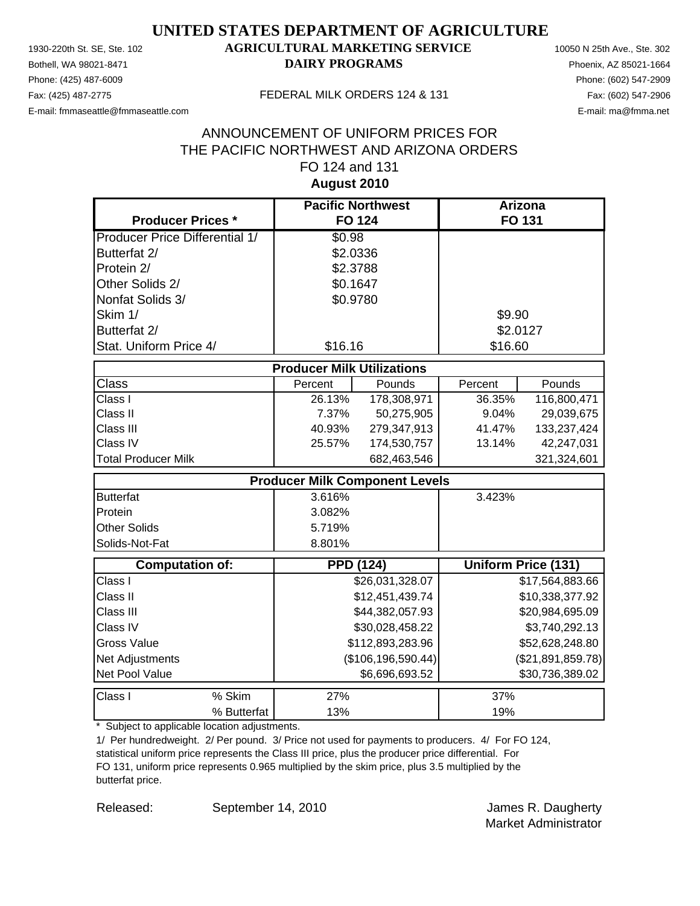Phone: (425) 487-6009 Phone: (602) 547-2909 E-mail: fmmaseattle@fmmaseattle.com E-mail: ma@fmma.net

### 1930-220th St. SE, Ste. 102 **AGRICULTURAL MARKETING SERVICE** 10050 N 25th Ave., Ste. 302 Bothell, WA 98021-8471 **DAIRY PROGRAMS** Phoenix, AZ 85021-1664

#### Fax: (425) 487-2775 FEDERAL MILK ORDERS 124 & 131

### **August 2010** ANNOUNCEMENT OF UNIFORM PRICES FOR THE PACIFIC NORTHWEST AND ARIZONA ORDERS FO 124 and 131

| <b>Producer Prices *</b>              |                                       | <b>Pacific Northwest</b><br><b>FO 124</b> |         | Arizona<br>FO 131   |
|---------------------------------------|---------------------------------------|-------------------------------------------|---------|---------------------|
| <b>Producer Price Differential 1/</b> | \$0.98                                |                                           |         |                     |
| Butterfat 2/                          |                                       | \$2.0336                                  |         |                     |
| Protein 2/                            |                                       | \$2.3788                                  |         |                     |
| Other Solids 2/                       |                                       | \$0.1647                                  |         |                     |
| Nonfat Solids 3/                      |                                       | \$0.9780                                  |         |                     |
| Skim 1/                               |                                       |                                           | \$9.90  |                     |
| Butterfat 2/                          |                                       |                                           |         | \$2.0127            |
| Stat. Uniform Price 4/                | \$16.16                               |                                           | \$16.60 |                     |
|                                       | <b>Producer Milk Utilizations</b>     |                                           |         |                     |
| <b>Class</b>                          | Percent                               | Pounds                                    | Percent | Pounds              |
| Class I                               | 26.13%                                | 178,308,971                               | 36.35%  | 116,800,471         |
| Class II                              | 7.37%                                 | 50,275,905                                | 9.04%   | 29,039,675          |
| Class III                             | 40.93%                                | 279,347,913                               | 41.47%  | 133,237,424         |
| Class IV                              | 25.57%                                | 174,530,757                               | 13.14%  | 42,247,031          |
| <b>Total Producer Milk</b>            |                                       | 682,463,546                               |         | 321,324,601         |
|                                       | <b>Producer Milk Component Levels</b> |                                           |         |                     |
| <b>Butterfat</b>                      | 3.616%                                |                                           | 3.423%  |                     |
| Protein                               | 3.082%                                |                                           |         |                     |
| <b>Other Solids</b>                   | 5.719%                                |                                           |         |                     |
| Solids-Not-Fat                        | 8.801%                                |                                           |         |                     |
| <b>Computation of:</b>                |                                       | <b>PPD (124)</b>                          |         | Uniform Price (131) |
| Class I                               |                                       | \$26,031,328.07                           |         | \$17,564,883.66     |
| Class II                              |                                       | \$12,451,439.74                           |         | \$10,338,377.92     |
| Class III                             |                                       | \$44,382,057.93                           |         | \$20,984,695.09     |
| Class IV                              |                                       | \$30,028,458.22                           |         | \$3,740,292.13      |
| <b>Gross Value</b>                    |                                       | \$112,893,283.96                          |         | \$52,628,248.80     |
| Net Adjustments                       |                                       | (\$106, 196, 590.44)                      |         | (\$21,891,859.78)   |
| Net Pool Value                        |                                       | \$6,696,693.52                            |         | \$30,736,389.02     |
| % Skim<br>Class I                     | 27%                                   |                                           | 37%     |                     |
| % Butterfat                           | 13%                                   |                                           | 19%     |                     |

\* Subject to applicable location adjustments.

1/ Per hundredweight. 2/ Per pound. 3/ Price not used for payments to producers. 4/ For FO 124, statistical uniform price represents the Class III price, plus the producer price differential. For FO 131, uniform price represents 0.965 multiplied by the skim price, plus 3.5 multiplied by the butterfat price.

Released: September 14, 2010 **Gotter Accords** James R. Daugherty Market Administrator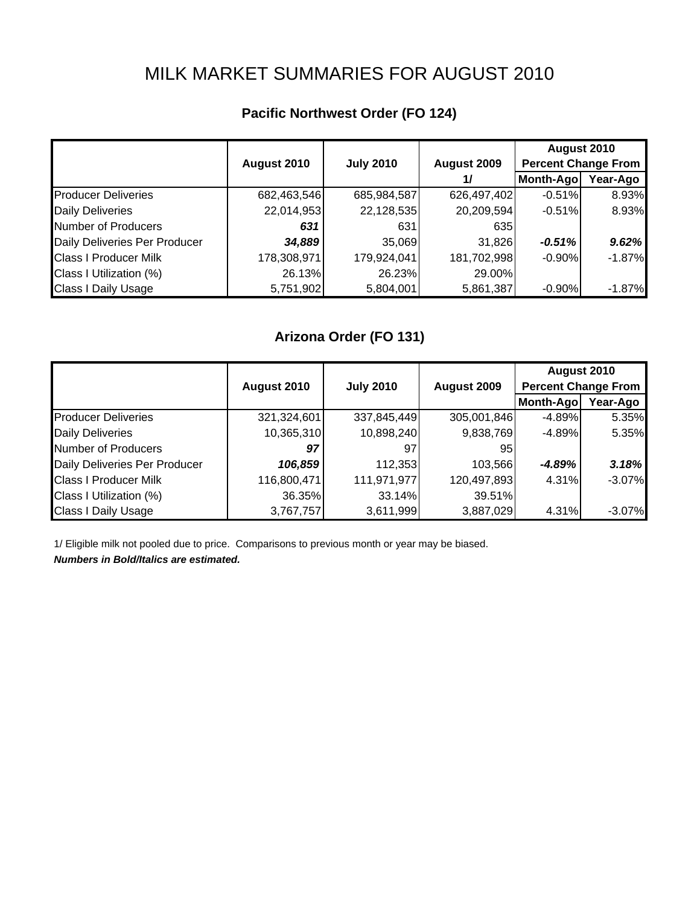# MILK MARKET SUMMARIES FOR AUGUST 2010

|                               |             |                  |             | August 2010                |           |
|-------------------------------|-------------|------------------|-------------|----------------------------|-----------|
|                               | August 2010 | <b>July 2010</b> | August 2009 | <b>Percent Change From</b> |           |
|                               |             |                  | 1/          | Month-Ago                  | Year-Ago  |
| <b>Producer Deliveries</b>    | 682,463,546 | 685,984,587      | 626,497,402 | $-0.51%$                   | 8.93%     |
| <b>Daily Deliveries</b>       | 22,014,953  | 22,128,535       | 20,209,594  | $-0.51%$                   | 8.93%     |
| Number of Producers           | 631         | 631              | 635         |                            |           |
| Daily Deliveries Per Producer | 34,889      | 35,069           | 31,826      | $-0.51%$                   | 9.62%     |
| <b>Class I Producer Milk</b>  | 178,308,971 | 179,924,041      | 181,702,998 | $-0.90%$                   | $-1.87%$  |
| Class I Utilization (%)       | 26.13%      | 26.23%           | 29.00%      |                            |           |
| <b>Class I Daily Usage</b>    | 5,751,902   | 5,804,001        | 5,861,387   | $-0.90\%$                  | $-1.87\%$ |

## **Pacific Northwest Order (FO 124)**

## **Arizona Order (FO 131)**

|                               |             |                  |             | August 2010                |          |
|-------------------------------|-------------|------------------|-------------|----------------------------|----------|
|                               | August 2010 | <b>July 2010</b> | August 2009 | <b>Percent Change From</b> |          |
|                               |             |                  |             | Month-Ago                  | Year-Ago |
| <b>Producer Deliveries</b>    | 321,324,601 | 337,845,449      | 305,001,846 | $-4.89%$                   | 5.35%    |
| <b>Daily Deliveries</b>       | 10,365,310  | 10,898,240       | 9,838,769   | $-4.89%$                   | 5.35%    |
| Number of Producers           | 97          | 97               | 95          |                            |          |
| Daily Deliveries Per Producer | 106,859     | 112,353          | 103,566     | -4.89%                     | 3.18%    |
| <b>Class I Producer Milk</b>  | 116,800,471 | 111,971,977      | 120,497,893 | 4.31%                      | $-3.07%$ |
| Class I Utilization (%)       | 36.35%      | 33.14%           | 39.51%      |                            |          |
| <b>Class I Daily Usage</b>    | 3,767,757   | 3,611,999        | 3,887,029   | 4.31%                      | $-3.07%$ |

1/ Eligible milk not pooled due to price. Comparisons to previous month or year may be biased. *Numbers in Bold/Italics are estimated.*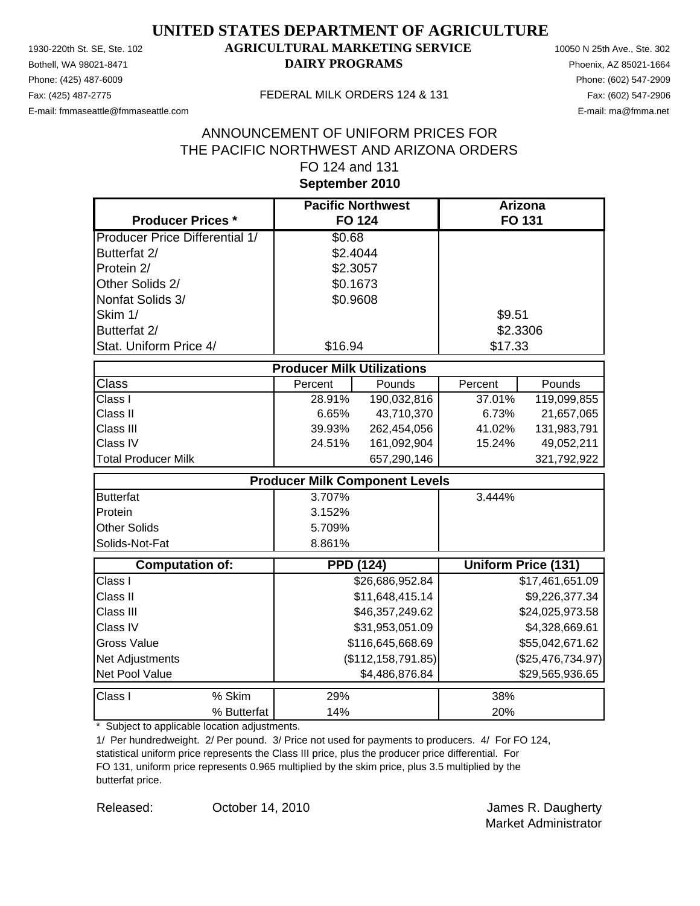Phone: (425) 487-6009 Phone: (602) 547-2909 E-mail: fmmaseattle@fmmaseattle.com E-mail: ma@fmma.net

### 1930-220th St. SE, Ste. 102 **AGRICULTURAL MARKETING SERVICE** 10050 N 25th Ave., Ste. 302 Bothell, WA 98021-8471 **DAIRY PROGRAMS** Phoenix, AZ 85021-1664

#### Fax: (425) 487-2775 FEDERAL MILK ORDERS 124 & 131

### **September 2010** ANNOUNCEMENT OF UNIFORM PRICES FOR THE PACIFIC NORTHWEST AND ARIZONA ORDERS FO 124 and 131

| <b>Producer Prices *</b>              |                                       | <b>Pacific Northwest</b><br><b>FO 124</b> |          | <b>Arizona</b><br>FO 131   |
|---------------------------------------|---------------------------------------|-------------------------------------------|----------|----------------------------|
| <b>Producer Price Differential 1/</b> | \$0.68                                |                                           |          |                            |
| Butterfat 2/                          | \$2.4044                              |                                           |          |                            |
| Protein 2/                            | \$2.3057                              |                                           |          |                            |
| Other Solids 2/                       | \$0.1673                              |                                           |          |                            |
| Nonfat Solids 3/                      | \$0.9608                              |                                           |          |                            |
| Skim 1/                               |                                       |                                           |          |                            |
|                                       |                                       |                                           | \$9.51   |                            |
| Butterfat 2/                          |                                       |                                           | \$2.3306 |                            |
| Stat. Uniform Price 4/                | \$16.94                               |                                           | \$17.33  |                            |
|                                       | <b>Producer Milk Utilizations</b>     |                                           |          |                            |
| <b>Class</b>                          | Percent                               | Pounds                                    | Percent  | Pounds                     |
| Class I                               | 28.91%                                | 190,032,816                               | 37.01%   | 119,099,855                |
| Class II                              | 6.65%                                 | 43,710,370                                | 6.73%    | 21,657,065                 |
| Class III                             | 39.93%                                | 262,454,056                               | 41.02%   | 131,983,791                |
| Class IV                              | 24.51%                                | 161,092,904                               | 15.24%   | 49,052,211                 |
| <b>Total Producer Milk</b>            |                                       | 657,290,146                               |          | 321,792,922                |
|                                       | <b>Producer Milk Component Levels</b> |                                           |          |                            |
| <b>Butterfat</b>                      | 3.707%                                |                                           | 3.444%   |                            |
| Protein                               | 3.152%                                |                                           |          |                            |
| <b>Other Solids</b>                   | 5.709%                                |                                           |          |                            |
| Solids-Not-Fat                        | 8.861%                                |                                           |          |                            |
| <b>Computation of:</b>                | <b>PPD (124)</b>                      |                                           |          | <b>Uniform Price (131)</b> |
| Class I                               |                                       | \$26,686,952.84                           |          | \$17,461,651.09            |
| Class II                              |                                       | \$11,648,415.14                           |          | \$9,226,377.34             |
| Class III                             |                                       | \$46,357,249.62                           |          | \$24,025,973.58            |
| Class IV                              |                                       | \$31,953,051.09                           |          | \$4,328,669.61             |
| <b>Gross Value</b>                    |                                       | \$116,645,668.69                          |          | \$55,042,671.62            |
| Net Adjustments                       |                                       | (\$112, 158, 791.85)                      |          | (\$25,476,734.97)          |
| Net Pool Value                        |                                       | \$4,486,876.84                            |          | \$29,565,936.65            |
| % Skim<br>Class I                     | 29%                                   |                                           | 38%      |                            |
| % Butterfat                           | 14%                                   |                                           | 20%      |                            |

\* Subject to applicable location adjustments.

1/ Per hundredweight. 2/ Per pound. 3/ Price not used for payments to producers. 4/ For FO 124, statistical uniform price represents the Class III price, plus the producer price differential. For FO 131, uniform price represents 0.965 multiplied by the skim price, plus 3.5 multiplied by the butterfat price.

Released: Corober 14, 2010 Corober 14, 2010 Market Administrator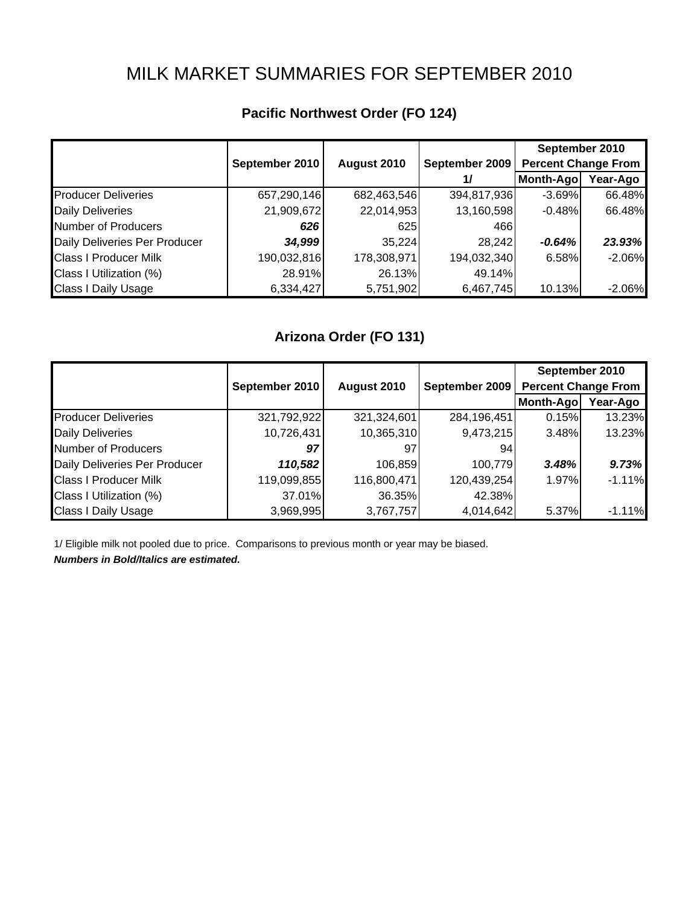## MILK MARKET SUMMARIES FOR SEPTEMBER 2010

|                               |                |             |                | September 2010             |          |
|-------------------------------|----------------|-------------|----------------|----------------------------|----------|
|                               | September 2010 | August 2010 | September 2009 | <b>Percent Change From</b> |          |
|                               |                |             | 1/             | Month-Ago                  | Year-Ago |
| <b>Producer Deliveries</b>    | 657,290,146    | 682,463,546 | 394,817,936    | $-3.69%$                   | 66.48%   |
| <b>Daily Deliveries</b>       | 21,909,672     | 22,014,953  | 13,160,598     | $-0.48%$                   | 66.48%   |
| <b>Number of Producers</b>    | 626            | 625         | 466            |                            |          |
| Daily Deliveries Per Producer | 34,999         | 35,224      | 28,242         | $-0.64%$                   | 23.93%   |
| <b>Class I Producer Milk</b>  | 190,032,816    | 178,308,971 | 194,032,340    | 6.58%                      | $-2.06%$ |
| Class I Utilization (%)       | 28.91%         | 26.13%      | 49.14%         |                            |          |
| <b>Class I Daily Usage</b>    | 6,334,427      | 5,751,902   | 6,467,745      | 10.13%                     | $-2.06%$ |

## **Pacific Northwest Order (FO 124)**

## **Arizona Order (FO 131)**

|                               |                |             |                | September 2010             |          |  |
|-------------------------------|----------------|-------------|----------------|----------------------------|----------|--|
|                               | September 2010 | August 2010 | September 2009 | <b>Percent Change From</b> |          |  |
|                               |                |             |                | <b>Month-Ago</b>           | Year-Ago |  |
| <b>Producer Deliveries</b>    | 321,792,922    | 321,324,601 | 284,196,451    | 0.15%                      | 13.23%   |  |
| <b>Daily Deliveries</b>       | 10,726,431     | 10,365,310  | 9,473,215      | 3.48%                      | 13.23%   |  |
| Number of Producers           | 97             | 97          | 94             |                            |          |  |
| Daily Deliveries Per Producer | 110,582        | 106,859     | 100,779        | 3.48%                      | 9.73%    |  |
| <b>Class I Producer Milk</b>  | 119,099,855    | 116,800,471 | 120,439,254    | 1.97%                      | $-1.11%$ |  |
| Class I Utilization (%)       | 37.01%         | 36.35%      | 42.38%         |                            |          |  |
| <b>Class I Daily Usage</b>    | 3,969,995      | 3,767,757   | 4,014,642      | 5.37%                      | $-1.11%$ |  |

1/ Eligible milk not pooled due to price. Comparisons to previous month or year may be biased. *Numbers in Bold/Italics are estimated.*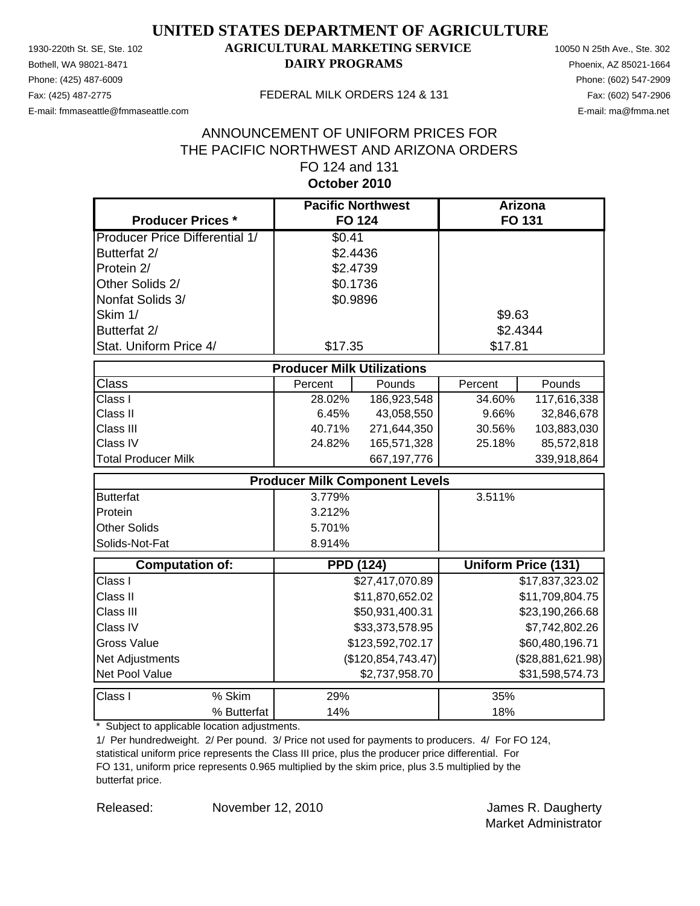Phone: (425) 487-6009 Phone: (602) 547-2909 E-mail: fmmaseattle@fmmaseattle.com E-mail: ma@fmma.net

### 1930-220th St. SE, Ste. 102 **AGRICULTURAL MARKETING SERVICE** 10050 N 25th Ave., Ste. 302 Bothell, WA 98021-8471 **DAIRY PROGRAMS** Phoenix, AZ 85021-1664

#### Fax: (425) 487-2775 FEDERAL MILK ORDERS 124 & 131

### **October 2010** ANNOUNCEMENT OF UNIFORM PRICES FOR THE PACIFIC NORTHWEST AND ARIZONA ORDERS FO 124 and 131

| <b>Producer Prices *</b>              |                                   | <b>Pacific Northwest</b><br><b>FO 124</b> |         | Arizona<br><b>FO 131</b>   |
|---------------------------------------|-----------------------------------|-------------------------------------------|---------|----------------------------|
| <b>Producer Price Differential 1/</b> | \$0.41                            |                                           |         |                            |
| Butterfat 2/                          |                                   | \$2.4436                                  |         |                            |
| Protein 2/                            |                                   | \$2.4739                                  |         |                            |
| Other Solids 2/                       |                                   | \$0.1736                                  |         |                            |
| Nonfat Solids 3/                      |                                   | \$0.9896                                  |         |                            |
| Skim 1/                               |                                   |                                           | \$9.63  |                            |
| Butterfat 2/                          |                                   |                                           |         | \$2.4344                   |
| Stat. Uniform Price 4/                | \$17.35                           |                                           | \$17.81 |                            |
|                                       | <b>Producer Milk Utilizations</b> |                                           |         |                            |
| <b>Class</b>                          | Percent                           | Pounds                                    | Percent | Pounds                     |
| Class I                               | 28.02%                            | 186,923,548                               | 34.60%  | 117,616,338                |
| Class II                              | 6.45%                             | 43,058,550                                | 9.66%   | 32,846,678                 |
| Class III                             | 40.71%                            | 271,644,350                               | 30.56%  | 103,883,030                |
| Class IV                              | 24.82%                            | 165,571,328                               | 25.18%  | 85,572,818                 |
| <b>Total Producer Milk</b>            |                                   | 667, 197, 776                             |         | 339,918,864                |
|                                       |                                   | <b>Producer Milk Component Levels</b>     |         |                            |
| <b>Butterfat</b>                      | 3.779%                            |                                           | 3.511%  |                            |
| Protein                               | 3.212%                            |                                           |         |                            |
| <b>Other Solids</b>                   | 5.701%                            |                                           |         |                            |
| Solids-Not-Fat                        | 8.914%                            |                                           |         |                            |
| <b>Computation of:</b>                |                                   | <b>PPD (124)</b>                          |         | <b>Uniform Price (131)</b> |
| Class I                               |                                   | \$27,417,070.89                           |         | \$17,837,323.02            |
| Class II                              |                                   | \$11,870,652.02                           |         | \$11,709,804.75            |
| Class III                             |                                   | \$50,931,400.31                           |         | \$23,190,266.68            |
| Class IV                              |                                   | \$33,373,578.95                           |         | \$7,742,802.26             |
| <b>Gross Value</b>                    |                                   | \$123,592,702.17                          |         | \$60,480,196.71            |
| Net Adjustments                       |                                   | (\$120,854,743.47)                        |         | (\$28,881,621.98)          |
| Net Pool Value                        |                                   | \$2,737,958.70                            |         | \$31,598,574.73            |
| Class I<br>% Skim                     | 29%                               |                                           | 35%     |                            |
| % Butterfat                           | 14%                               |                                           | 18%     |                            |

\* Subject to applicable location adjustments.

1/ Per hundredweight. 2/ Per pound. 3/ Price not used for payments to producers. 4/ For FO 124, statistical uniform price represents the Class III price, plus the producer price differential. For FO 131, uniform price represents 0.965 multiplied by the skim price, plus 3.5 multiplied by the butterfat price.

Released: Movember 12, 2010 **Details and Science And America** James R. Daugherty Market Administrator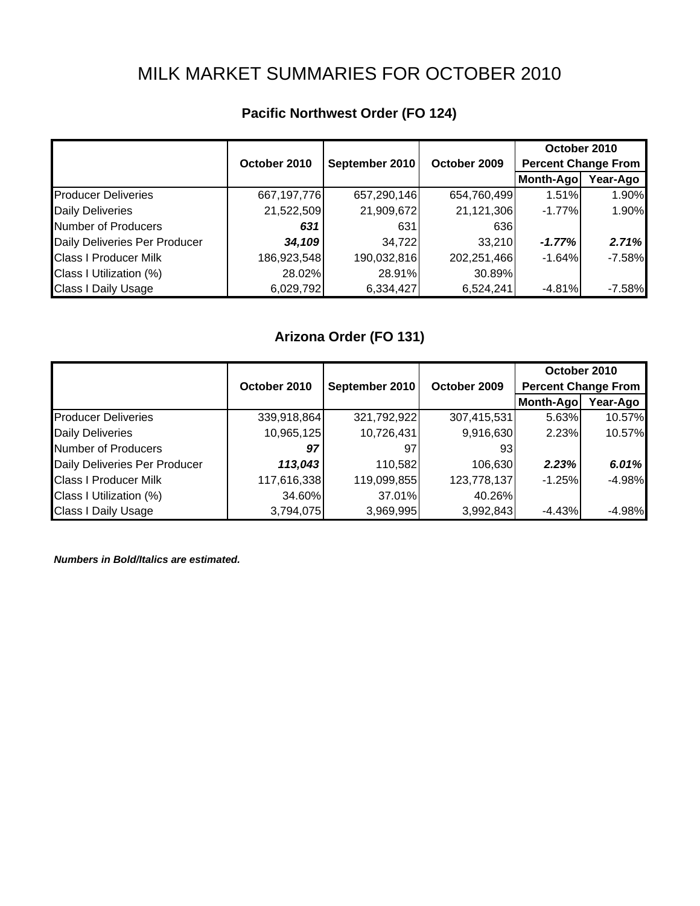# MILK MARKET SUMMARIES FOR OCTOBER 2010

|                               |              |                |              |                            | October 2010 |  |
|-------------------------------|--------------|----------------|--------------|----------------------------|--------------|--|
|                               | October 2010 | September 2010 | October 2009 | <b>Percent Change From</b> |              |  |
|                               |              |                |              | Month-Ago                  | Year-Ago     |  |
| <b>Producer Deliveries</b>    | 667,197,776  | 657,290,146    | 654,760,499  | 1.51%                      | 1.90%        |  |
| <b>Daily Deliveries</b>       | 21,522,509   | 21,909,672     | 21,121,306   | $-1.77%$                   | 1.90%        |  |
| Number of Producers           | 631          | 631            | 636          |                            |              |  |
| Daily Deliveries Per Producer | 34,109       | 34,722         | 33,210       | $-1.77%$                   | 2.71%        |  |
| <b>Class I Producer Milk</b>  | 186,923,548  | 190,032,816    | 202,251,466  | $-1.64%$                   | $-7.58%$     |  |
| Class I Utilization (%)       | 28.02%       | 28.91%         | 30.89%       |                            |              |  |
| <b>Class I Daily Usage</b>    | 6,029,792    | 6,334,427      | 6,524,241    | $-4.81%$                   | $-7.58%$     |  |

## **Pacific Northwest Order (FO 124)**

## **Arizona Order (FO 131)**

|                               |              |                |              | October 2010               |          |
|-------------------------------|--------------|----------------|--------------|----------------------------|----------|
|                               | October 2010 | September 2010 | October 2009 | <b>Percent Change From</b> |          |
|                               |              |                |              | Month-Ago                  | Year-Ago |
| <b>Producer Deliveries</b>    | 339,918,864  | 321,792,922    | 307,415,531  | 5.63%                      | 10.57%   |
| <b>Daily Deliveries</b>       | 10,965,125   | 10,726,431     | 9,916,630    | 2.23%                      | 10.57%   |
| Number of Producers           | 97           | 97             | 93           |                            |          |
| Daily Deliveries Per Producer | 113,043      | 110,582        | 106,630      | 2.23%                      | 6.01%    |
| <b>Class I Producer Milk</b>  | 117,616,338  | 119,099,855    | 123,778,137  | $-1.25%$                   | $-4.98%$ |
| Class I Utilization (%)       | 34.60%       | 37.01%         | 40.26%       |                            |          |
| <b>Class I Daily Usage</b>    | 3,794,075    | 3,969,995      | 3,992,843    | $-4.43%$                   | $-4.98%$ |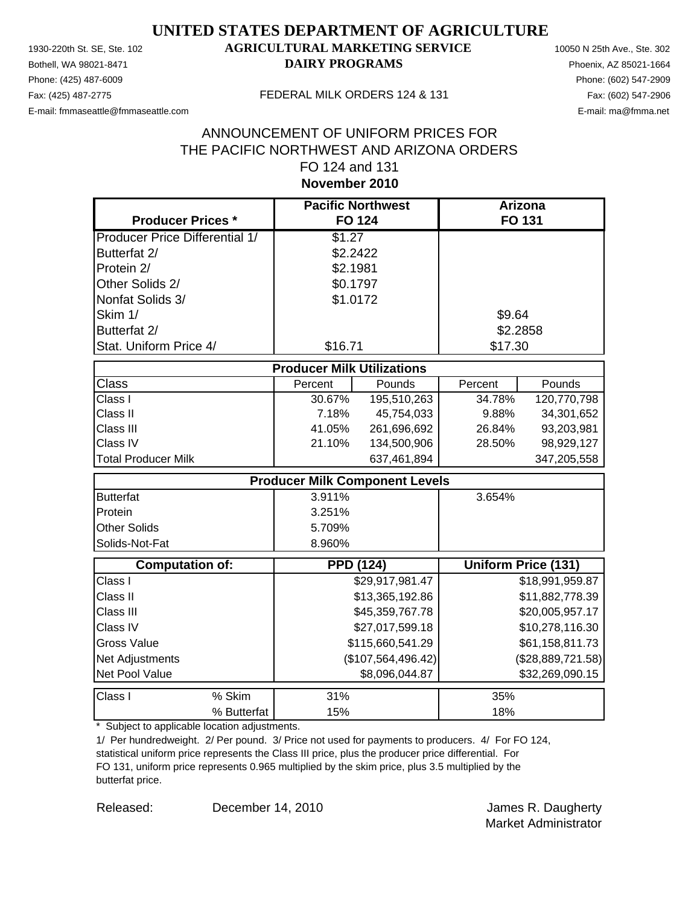Phone: (425) 487-6009 Phone: (602) 547-2909 E-mail: fmmaseattle@fmmaseattle.com E-mail: ma@fmma.net

### 1930-220th St. SE, Ste. 102 **AGRICULTURAL MARKETING SERVICE** 10050 N 25th Ave., Ste. 302 Bothell, WA 98021-8471 **DAIRY PROGRAMS** Phoenix, AZ 85021-1664

#### Fax: (425) 487-2775 FEDERAL MILK ORDERS 124 & 131

### **November 2010** ANNOUNCEMENT OF UNIFORM PRICES FOR THE PACIFIC NORTHWEST AND ARIZONA ORDERS FO 124 and 131

| <b>Producer Prices *</b>              | <b>Pacific Northwest</b><br><b>FO 124</b> |                    |          | <b>Arizona</b><br>FO 131 |
|---------------------------------------|-------------------------------------------|--------------------|----------|--------------------------|
| <b>Producer Price Differential 1/</b> | \$1.27                                    |                    |          |                          |
| Butterfat 2/                          | \$2.2422                                  |                    |          |                          |
| Protein 2/                            | \$2.1981                                  |                    |          |                          |
| Other Solids 2/                       | \$0.1797                                  |                    |          |                          |
| Nonfat Solids 3/                      | \$1.0172                                  |                    |          |                          |
| Skim 1/                               |                                           |                    | \$9.64   |                          |
| Butterfat 2/                          |                                           |                    | \$2.2858 |                          |
| Stat. Uniform Price 4/                | \$16.71                                   |                    | \$17.30  |                          |
|                                       |                                           |                    |          |                          |
|                                       | <b>Producer Milk Utilizations</b>         |                    |          |                          |
| <b>Class</b>                          | Percent                                   | Pounds             | Percent  | Pounds                   |
| Class I                               | 30.67%                                    | 195,510,263        | 34.78%   | 120,770,798              |
| Class II                              | 7.18%                                     | 45,754,033         | 9.88%    | 34,301,652               |
| Class III                             | 41.05%                                    | 261,696,692        | 26.84%   | 93,203,981               |
| Class IV                              | 21.10%                                    | 134,500,906        | 28.50%   | 98,929,127               |
| <b>Total Producer Milk</b>            |                                           | 637,461,894        |          | 347,205,558              |
|                                       | <b>Producer Milk Component Levels</b>     |                    |          |                          |
| <b>Butterfat</b>                      | 3.911%                                    |                    | 3.654%   |                          |
| Protein                               | 3.251%                                    |                    |          |                          |
| <b>Other Solids</b>                   | 5.709%                                    |                    |          |                          |
| Solids-Not-Fat                        | 8.960%                                    |                    |          |                          |
| <b>Computation of:</b>                | <b>PPD (124)</b>                          |                    |          | Uniform Price (131)      |
| Class I                               |                                           | \$29,917,981.47    |          | \$18,991,959.87          |
| Class II                              |                                           | \$13,365,192.86    |          | \$11,882,778.39          |
| Class III                             |                                           | \$45,359,767.78    |          | \$20,005,957.17          |
| Class IV                              |                                           | \$27,017,599.18    |          | \$10,278,116.30          |
| <b>Gross Value</b>                    |                                           | \$115,660,541.29   |          | \$61,158,811.73          |
| Net Adjustments                       |                                           | (\$107,564,496.42) |          | (\$28,889,721.58)        |
| Net Pool Value                        |                                           | \$8,096,044.87     |          | \$32,269,090.15          |
| Class I<br>% Skim                     | 31%                                       |                    | 35%      |                          |
| % Butterfat                           | 15%                                       |                    | 18%      |                          |

\* Subject to applicable location adjustments.

1/ Per hundredweight. 2/ Per pound. 3/ Price not used for payments to producers. 4/ For FO 124, statistical uniform price represents the Class III price, plus the producer price differential. For FO 131, uniform price represents 0.965 multiplied by the skim price, plus 3.5 multiplied by the butterfat price.

December 14, 2010

Released: December 14, 2010 **James R. Daugherty** Market Administrator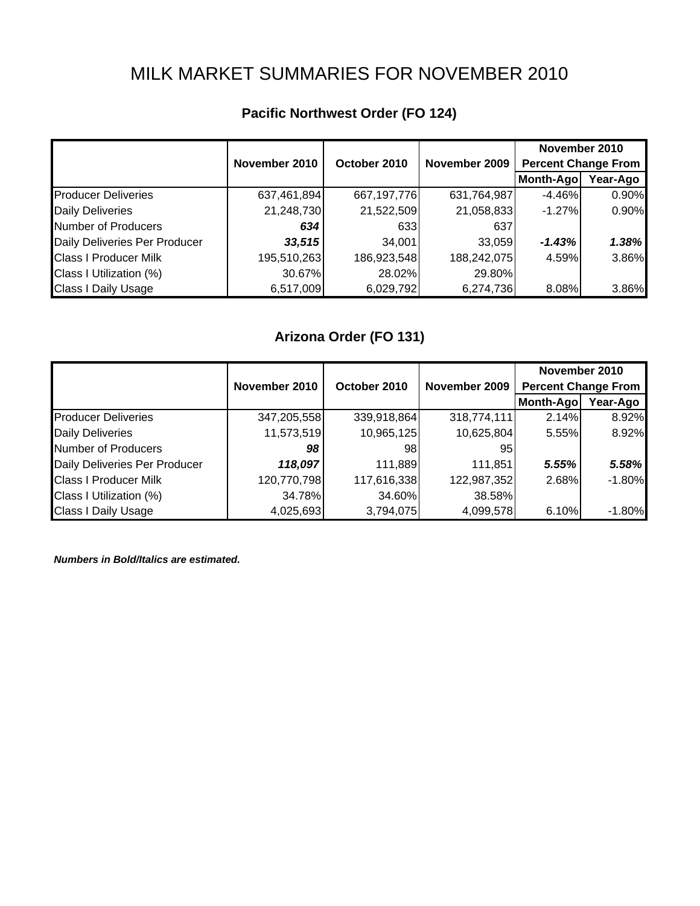# MILK MARKET SUMMARIES FOR NOVEMBER 2010

|                               |               |              |               | November 2010              |          |  |
|-------------------------------|---------------|--------------|---------------|----------------------------|----------|--|
|                               | November 2010 | October 2010 | November 2009 | <b>Percent Change From</b> |          |  |
|                               |               |              |               | Month-Ago                  | Year-Ago |  |
| <b>Producer Deliveries</b>    | 637,461,894   | 667,197,776  | 631,764,987   | $-4.46%$                   | 0.90%    |  |
| <b>Daily Deliveries</b>       | 21,248,730    | 21,522,509   | 21,058,833    | $-1.27%$                   | 0.90%    |  |
| Number of Producers           | 634           | 633          | 637           |                            |          |  |
| Daily Deliveries Per Producer | 33,515        | 34,001       | 33,059        | $-1.43%$                   | 1.38%    |  |
| <b>Class I Producer Milk</b>  | 195,510,263   | 186,923,548  | 188,242,075   | 4.59%                      | 3.86%    |  |
| Class I Utilization (%)       | 30.67%        | 28.02%       | 29.80%        |                            |          |  |
| <b>Class I Daily Usage</b>    | 6,517,009     | 6,029,792    | 6,274,736     | 8.08%                      | 3.86%    |  |

## **Pacific Northwest Order (FO 124)**

## **Arizona Order (FO 131)**

|                               |               |              |               | November 2010              |          |  |
|-------------------------------|---------------|--------------|---------------|----------------------------|----------|--|
|                               | November 2010 | October 2010 | November 2009 | <b>Percent Change From</b> |          |  |
|                               |               |              |               | Month-Ago                  | Year-Ago |  |
| <b>Producer Deliveries</b>    | 347,205,558   | 339,918,864  | 318,774,111   | 2.14%                      | 8.92%    |  |
| <b>Daily Deliveries</b>       | 11,573,519    | 10,965,125   | 10,625,804    | 5.55%                      | 8.92%    |  |
| Number of Producers           | 98            | 981          | 95            |                            |          |  |
| Daily Deliveries Per Producer | 118,097       | 111,889      | 111,851       | 5.55%                      | 5.58%    |  |
| <b>Class I Producer Milk</b>  | 120,770,798   | 117,616,338  | 122,987,352   | 2.68%                      | $-1.80%$ |  |
| Class I Utilization (%)       | 34.78%        | 34.60%       | 38.58%        |                            |          |  |
| <b>Class I Daily Usage</b>    | 4,025,693     | 3,794,075    | 4,099,578     | 6.10%                      | $-1.80%$ |  |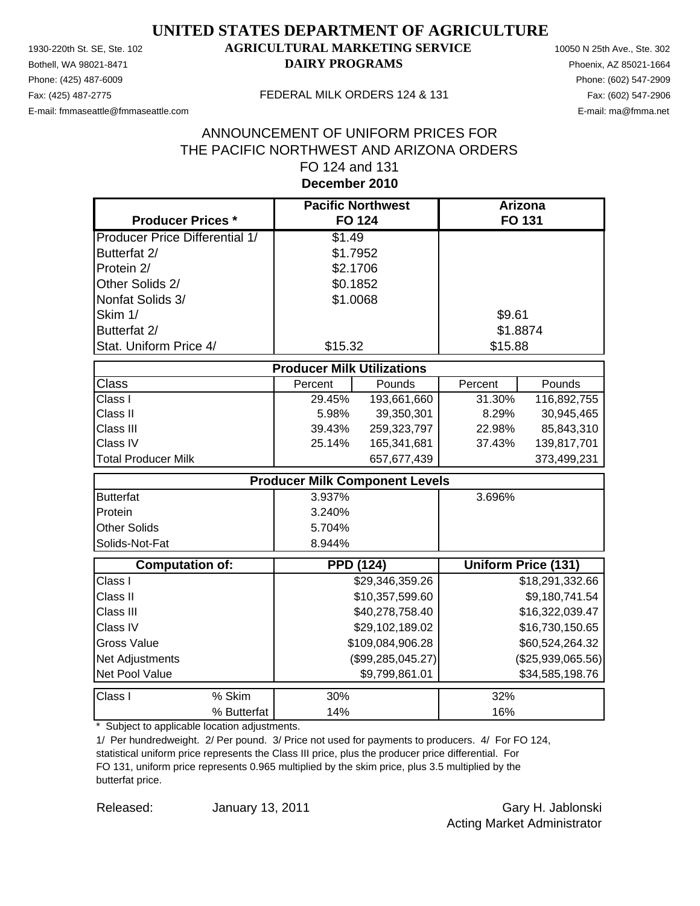Phone: (425) 487-6009 Phone: (602) 547-2909 E-mail: fmmaseattle@fmmaseattle.com E-mail: ma@fmma.net

### 1930-220th St. SE, Ste. 102 **AGRICULTURAL MARKETING SERVICE** 10050 N 25th Ave., Ste. 302 Bothell, WA 98021-8471 **DAIRY PROGRAMS** Phoenix, AZ 85021-1664

#### Fax: (425) 487-2775 FEDERAL MILK ORDERS 124 & 131

### **December 2010** ANNOUNCEMENT OF UNIFORM PRICES FOR THE PACIFIC NORTHWEST AND ARIZONA ORDERS FO 124 and 131

| <b>Producer Prices *</b>              |                                   | <b>Pacific Northwest</b><br><b>FO 124</b> |         | Arizona<br><b>FO 131</b>   |
|---------------------------------------|-----------------------------------|-------------------------------------------|---------|----------------------------|
| <b>Producer Price Differential 1/</b> | \$1.49                            |                                           |         |                            |
| Butterfat 2/                          |                                   | \$1.7952                                  |         |                            |
| Protein 2/                            |                                   | \$2.1706                                  |         |                            |
| Other Solids 2/                       |                                   | \$0.1852                                  |         |                            |
| Nonfat Solids 3/                      |                                   | \$1.0068                                  |         |                            |
| Skim 1/                               |                                   |                                           | \$9.61  |                            |
| Butterfat 2/                          |                                   |                                           |         | \$1.8874                   |
| Stat. Uniform Price 4/                | \$15.32                           |                                           | \$15.88 |                            |
|                                       | <b>Producer Milk Utilizations</b> |                                           |         |                            |
| <b>Class</b>                          | Percent                           | Pounds                                    | Percent | Pounds                     |
| Class I                               | 29.45%                            | 193,661,660                               | 31.30%  | 116,892,755                |
| Class II                              | 5.98%                             | 39,350,301                                | 8.29%   | 30,945,465                 |
| Class III                             | 39.43%                            | 259,323,797                               | 22.98%  | 85,843,310                 |
| Class IV                              | 25.14%                            | 165,341,681                               | 37.43%  | 139,817,701                |
| <b>Total Producer Milk</b>            |                                   | 657,677,439                               |         | 373,499,231                |
|                                       |                                   | <b>Producer Milk Component Levels</b>     |         |                            |
| <b>Butterfat</b>                      | 3.937%                            |                                           | 3.696%  |                            |
| Protein                               | 3.240%                            |                                           |         |                            |
| <b>Other Solids</b>                   | 5.704%                            |                                           |         |                            |
| Solids-Not-Fat                        | 8.944%                            |                                           |         |                            |
| <b>Computation of:</b>                |                                   | <b>PPD (124)</b>                          |         | <b>Uniform Price (131)</b> |
| Class I                               |                                   | \$29,346,359.26                           |         | \$18,291,332.66            |
| Class II                              |                                   | \$10,357,599.60                           |         | \$9,180,741.54             |
| Class III                             |                                   | \$40,278,758.40                           |         | \$16,322,039.47            |
| Class IV                              |                                   | \$29,102,189.02                           |         | \$16,730,150.65            |
| <b>Gross Value</b>                    |                                   | \$109,084,906.28                          |         | \$60,524,264.32            |
| Net Adjustments                       |                                   | (\$99, 285, 045.27)                       |         | (\$25,939,065.56)          |
| Net Pool Value                        |                                   | \$9,799,861.01                            |         | \$34,585,198.76            |
| Class I<br>% Skim                     | 30%                               |                                           | 32%     |                            |
| % Butterfat                           | 14%                               |                                           | 16%     |                            |

\* Subject to applicable location adjustments.

1/ Per hundredweight. 2/ Per pound. 3/ Price not used for payments to producers. 4/ For FO 124, statistical uniform price represents the Class III price, plus the producer price differential. For FO 131, uniform price represents 0.965 multiplied by the skim price, plus 3.5 multiplied by the butterfat price.

Released: January 13, 2011 Cary H. Jablonski Acting Market Administrator